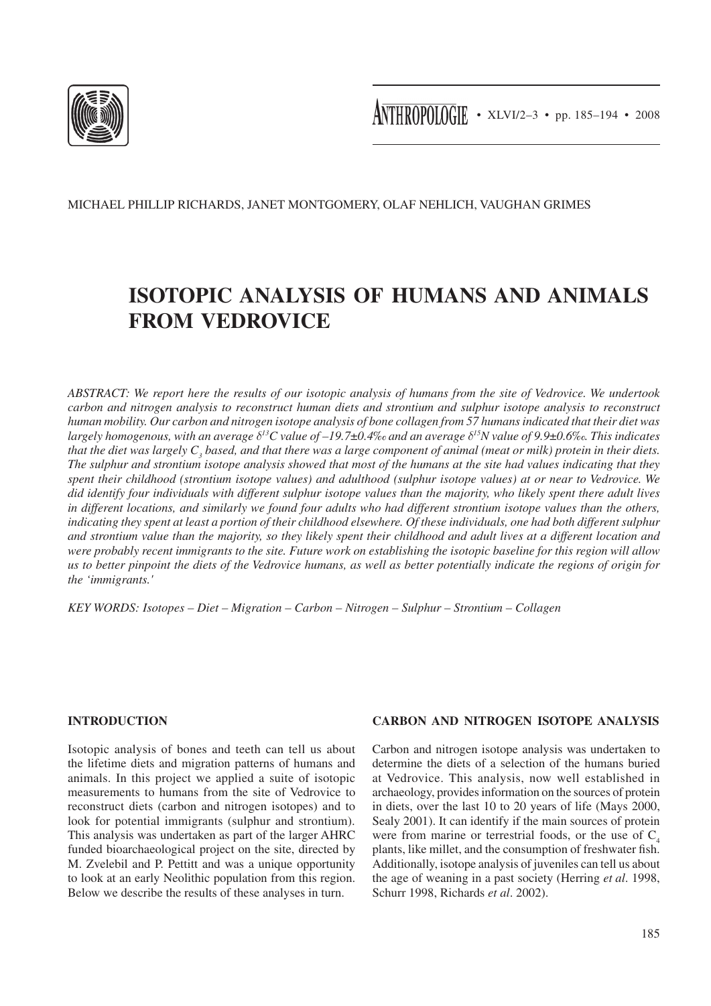

Michael Phillip Richards, Janet Montgomery, Olaf Nehlich, Vaughan Grimes

# **Isotopic analysis of humans and animals from Vedrovice**

*Abstract: We report here the results of our isotopic analysis of humans from the site of Vedrovice. We undertook carbon and nitrogen analysis to reconstruct human diets and strontium and sulphur isotope analysis to reconstruct human mobility. Our carbon and nitrogen isotope analysis of bone collagen from 57 humans indicated that their diet was largely homogenous, with an average δ13C value of –19.7*±*0.4‰ and an average δ15N value of 9.9*±*0.6‰. This indicates*  that the diet was largely  $C_{_3}$  based, and that there was a large component of animal (meat or milk) protein in their diets. *The sulphur and strontium isotope analysis showed that most of the humans at the site had values indicating that they spent their childhood (strontium isotope values) and adulthood (sulphur isotope values) at or near to Vedrovice. We did identify four individuals with different sulphur isotope values than the majority, who likely spent there adult lives in different locations, and similarly we found four adults who had different strontium isotope values than the others, indicating they spent at least a portion of their childhood elsewhere. Of these individuals, one had both different sulphur and strontium value than the majority, so they likely spent their childhood and adult lives at a different location and were probably recent immigrants to the site. Future work on establishing the isotopic baseline for this region will allow us to better pinpoint the diets of the Vedrovice humans, as well as better potentially indicate the regions of origin for the 'immigrants.'*

*Key words: Isotopes – diet – migration – carbon – nitrogen – sulphur – strontium – collagen*

# **Introduction**

Isotopic analysis of bones and teeth can tell us about the lifetime diets and migration patterns of humans and animals. In this project we applied a suite of isotopic measurements to humans from the site of Vedrovice to reconstruct diets (carbon and nitrogen isotopes) and to look for potential immigrants (sulphur and strontium). This analysis was undertaken as part of the larger AHRC funded bioarchaeological project on the site, directed by M. Zvelebil and P. Pettitt and was a unique opportunity to look at an early Neolithic population from this region. Below we describe the results of these analyses in turn.

#### **Carbon and Nitrogen Isotope Analysis**

Carbon and nitrogen isotope analysis was undertaken to determine the diets of a selection of the humans buried at Vedrovice. This analysis, now well established in archaeology, provides information on the sources of protein in diets, over the last 10 to 20 years of life (Mays 2000, Sealy 2001). It can identify if the main sources of protein were from marine or terrestrial foods, or the use of  $C_4$ plants, like millet, and the consumption of freshwater fish. Additionally, isotope analysis of juveniles can tell us about the age of weaning in a past society (Herring *et al*. 1998, Schurr 1998, Richards *et al*. 2002).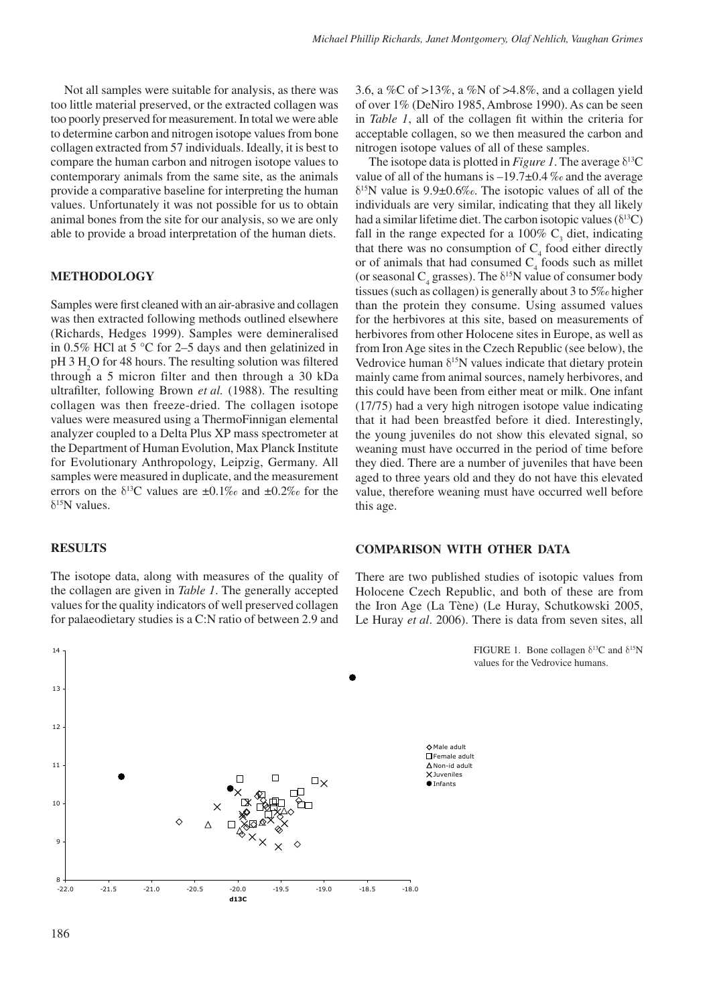Not all samples were suitable for analysis, as there was too little material preserved, or the extracted collagen was too poorly preserved for measurement. In total we were able to determine carbon and nitrogen isotope values from bone collagen extracted from 57 individuals. Ideally, it is best to compare the human carbon and nitrogen isotope values to contemporary animals from the same site, as the animals provide a comparative baseline for interpreting the human values. Unfortunately it was not possible for us to obtain animal bones from the site for our analysis, so we are only able to provide a broad interpretation of the human diets.

#### **Methodology**

Samples were first cleaned with an air-abrasive and collagen was then extracted following methods outlined elsewhere (Richards, Hedges 1999). Samples were demineralised in 0.5% HCl at 5 °C for 2–5 days and then gelatinized in  $pH$  3  $H_2O$  for 48 hours. The resulting solution was filtered through a 5 micron filter and then through a 30 kDa ultrafilter, following Brown *et al.* (1988). The resulting collagen was then freeze-dried. The collagen isotope values were measured using a ThermoFinnigan elemental analyzer coupled to a Delta Plus XP mass spectrometer at the Department of Human Evolution, Max Planck Institute for Evolutionary Anthropology, Leipzig, Germany. All samples were measured in duplicate, and the measurement errors on the  $\delta^{13}$ C values are  $\pm 0.1\%$  and  $\pm 0.2\%$  for the  $δ<sup>15</sup>N$  values.

#### **Results**

The isotope data, along with measures of the quality of the collagen are given in *Table 1*. The generally accepted values for the quality indicators of well preserved collagen for palaeodietary studies is a C:N ratio of between 2.9 and

3.6, a %C of >13%, a %N of >4.8%, and a collagen yield of over 1% (DeNiro 1985, Ambrose 1990). As can be seen in *Table 1*, all of the collagen fit within the criteria for acceptable collagen, so we then measured the carbon and nitrogen isotope values of all of these samples.

The isotope data is plotted in *Figure 1*. The average  $\delta^{13}C$ value of all of the humans is  $-19.7\pm0.4\%$  and the average  $\delta^{15}$ N value is 9.9±0.6‰. The isotopic values of all of the individuals are very similar, indicating that they all likely had a similar lifetime diet. The carbon isotopic values ( $\delta^{13}$ C) fall in the range expected for a 100%  $C_3$  diet, indicating that there was no consumption of  $C_4$  food either directly or of animals that had consumed  $C_4$  foods such as millet (or seasonal  $C_4$  grasses). The  $\delta^{15}N$  value of consumer body tissues (such as collagen) is generally about 3 to 5‰ higher than the protein they consume. Using assumed values for the herbivores at this site, based on measurements of herbivores from other Holocene sites in Europe, as well as from Iron Age sites in the Czech Republic (see below), the Vedrovice human  $\delta^{15}N$  values indicate that dietary protein mainly came from animal sources, namely herbivores, and this could have been from either meat or milk. One infant (17/75) had a very high nitrogen isotope value indicating that it had been breastfed before it died. Interestingly, the young juveniles do not show this elevated signal, so weaning must have occurred in the period of time before they died. There are a number of juveniles that have been aged to three years old and they do not have this elevated value, therefore weaning must have occurred well before this age.

#### **Comparison with Other Data**

There are two published studies of isotopic values from Holocene Czech Republic, and both of these are from the Iron Age (La Tène) (Le Huray, Schutkowski 2005, Le Huray *et al*. 2006). There is data from seven sites, all



FIGURE 1. Bone collagen  $\delta^{13}C$  and  $\delta^{15}N$ values for the Vedrovice humans.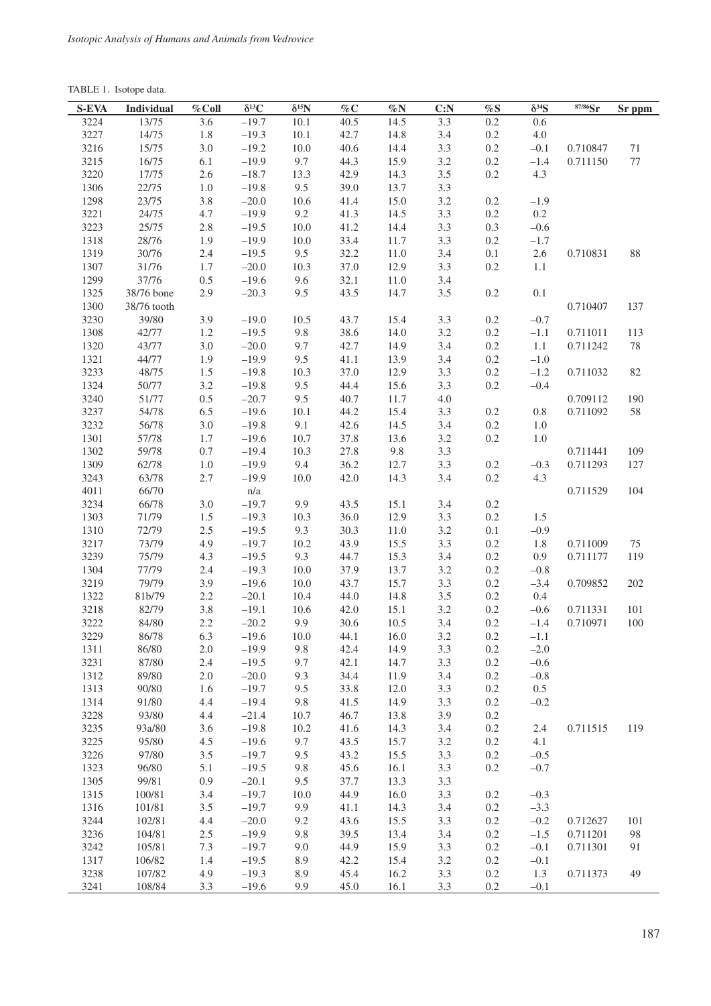TABLE 1. Isotope data.

| 3224<br>13/75<br>3.6<br>$-19.7$<br>10.1<br>40.5<br>14.5<br>3.3<br>$0.2\,$<br>0.6<br>3227<br>14/75<br>1.8<br>10.1<br>42.7<br>3.4<br>$0.2\,$<br>$4.0\,$<br>$-19.3$<br>14.8<br>3216<br>15/75<br>3.0<br>$-19.2$<br>$10.0$<br>40.6<br>14.4<br>$3.3\,$<br>$0.2\,$<br>$71\,$<br>$-0.1$<br>0.710847<br>3215<br>16/75<br>$-19.9$<br>9.7<br>44.3<br>$3.2\,$<br>6.1<br>15.9<br>$0.2\,$<br>$-1.4$<br>77<br>0.711150<br>3220<br>$3.5$<br>17/75<br>2.6<br>$-18.7$<br>13.3<br>42.9<br>14.3<br>$0.2\,$<br>4.3<br>1306<br>22/75<br>$1.0\,$<br>$-19.8$<br>9.5<br>39.0<br>13.7<br>3.3<br>23/75<br>$-20.0$<br>1298<br>$3.8\,$<br>10.6<br>41.4<br>15.0<br>$3.2\,$<br>0.2<br>$-1.9$<br>3221<br>4.7<br>$-19.9$<br>9.2<br>41.3<br>3.3<br>$0.2\,$<br>0.2<br>24/75<br>14.5<br>3223<br>25/75<br>$2.8\,$<br>$-19.5$<br>$10.0$<br>41.2<br>14.4<br>3.3<br>0.3<br>$-0.6$<br>1318<br>28/76<br>1.9<br>$-19.9$<br>$10.0$<br>33.4<br>11.7<br>$3.3$<br>$0.2\,$<br>$-1.7$<br>1319<br>30/76<br>2.4<br>$-19.5$<br>9.5<br>32.2<br>3.4<br>$0.1\,$<br>$2.6\,$<br>$88\,$<br>11.0<br>0.710831<br>1307<br>31/76<br>1.7<br>$-20.0$<br>10.3<br>37.0<br>12.9<br>3.3<br>$0.2\,$<br>1.1<br>1299<br>$-19.6$<br>37/76<br>0.5<br>9.6<br>32.1<br>3.4<br>11.0<br>1325<br>2.9<br>$-20.3$<br>9.5<br>43.5<br>14.7<br>$3.5$<br>0.1<br>38/76 bone<br>0.2<br>1300<br>0.710407<br>137<br>38/76 tooth<br>3230<br>3.9<br>39/80<br>$-19.0$<br>43.7<br>15.4<br>3.3<br>$0.2\,$<br>10.5<br>$-0.7$<br>1308<br>42/77<br>1.2<br>$-19.5$<br>9.8<br>38.6<br>14.0<br>$3.2\,$<br>$0.2\,$<br>113<br>$-1.1$<br>0.711011<br>$3.0\,$<br>$-20.0$<br>9.7<br>1.1<br>1320<br>43/77<br>42.7<br>14.9<br>3.4<br>$0.2\,$<br>78<br>0.711242<br>1321<br>44/77<br>1.9<br>$-19.9$<br>9.5<br>41.1<br>3.4<br>$0.2\,$<br>$-1.0$<br>13.9<br>3233<br>37.0<br>48/75<br>1.5<br>$-19.8$<br>10.3<br>12.9<br>$3.3$<br>$0.2\,$<br>82<br>$-1.2$<br>0.711032<br>1324<br>$3.2\,$<br>$-19.8$<br>9.5<br>44.4<br>15.6<br>3.3<br>0.2<br>50/77<br>$-0.4$<br>3240<br>51/77<br>0.5<br>$-20.7$<br>9.5<br>40.7<br>11.7<br>$4.0\,$<br>0.709112<br>190<br>3237<br>6.5<br>54/78<br>$-19.6$<br>10.1<br>44.2<br>15.4<br>$3.3$<br>$0.2\,$<br>$0.8\,$<br>0.711092<br>58<br>3232<br>56/78<br>$3.0\,$<br>$-19.8$<br>9.1<br>42.6<br>14.5<br>3.4<br>$0.2\,$<br>1.0<br>1301<br>57/78<br>1.7<br>$-19.6$<br>10.7<br>37.8<br>$3.2\,$<br>0.2<br>$1.0\,$<br>13.6<br>1302<br>59/78<br>$0.7\,$<br>$-19.4$<br>10.3<br>27.8<br>9.8<br>$3.3\,$<br>0.711441<br>109<br>1309<br>62/78<br>$1.0\,$<br>$-19.9$<br>9.4<br>36.2<br>3.3<br>0.711293<br>127<br>12.7<br>$0.2\,$<br>$-0.3$<br>3243<br>63/78<br>2.7<br>$-19.9$<br>42.0<br>14.3<br>3.4<br>$0.2\,$<br>10.0<br>4.3<br>4011<br>$\mathrm{n}/\mathrm{a}$<br>66/70<br>0.711529<br>104<br>3234<br>66/78<br>3.0<br>$-19.7$<br>9.9<br>43.5<br>15.1<br>3.4<br>$0.2\,$<br>3.3<br>1303<br>71/79<br>$1.5$<br>$-19.3$<br>10.3<br>36.0<br>12.9<br>$0.2\,$<br>1.5<br>1310<br>2.5<br>9.3<br>72/79<br>$-19.5$<br>30.3<br>11.0<br>$3.2\,$<br>$0.1\,$<br>$-0.9$<br>3217<br>73/79<br>4.9<br>$-19.7$<br>43.9<br>15.5<br>3.3<br>10.2<br>$0.2\,$<br>1.8<br>0.711009<br>75<br>3239<br>3.4<br>75/79<br>4.3<br>$-19.5$<br>9.3<br>44.7<br>15.3<br>$0.2\,$<br>0.9<br>0.711177<br>119<br>1304<br>77/79<br>$2.4\,$<br>$-19.3$<br>$10.0\,$<br>37.9<br>13.7<br>$3.2\,$<br>$0.2\,$<br>$-0.8$<br>3219<br>79/79<br>3.9<br>$-19.6$<br>$10.0\,$<br>43.7<br>15.7<br>$3.3$<br>$0.2\,$<br>$-3.4$<br>202<br>0.709852<br>1322<br>81b/79<br>$2.2\,$<br>$-20.1$<br>10.4<br>44.0<br>14.8<br>$3.5\,$<br>$0.2\,$<br>0.4<br>3218<br>82/79<br>3.8<br>$-19.1$<br>10.6<br>42.0<br>15.1<br>$3.2\,$<br>$0.2\,$<br>101<br>$-0.6$<br>0.711331<br>3222<br>84/80<br>2.2<br>$-20.2$<br>9.9<br>30.6<br>10.5<br>3.4<br>$0.2\,$<br>100<br>$-1.4$<br>0.710971<br>3229<br>86/78<br>6.3<br>$-19.6$<br>10.0<br>44.1<br>16.0<br>3.2<br>0.2<br>$-1.1$<br>86/80<br>2.0<br>3.3<br>$-2.0$<br>1311<br>$-19.9$<br>9.8<br>42.4<br>14.9<br>$0.2\,$<br>$-0.6$<br>3231<br>87/80<br>2.4<br>$-19.5$<br>9.7<br>42.1<br>14.7<br>3.3<br>$0.2\,$<br>1312<br>89/80<br>2.0<br>$-20.0$<br>34.4<br>3.4<br>$0.2\,$<br>$-0.8$<br>9.3<br>11.9<br>1313<br>90/80<br>$-19.7$<br>3.3<br>$0.2\,$<br>0.5<br>1.6<br>9.5<br>33.8<br>12.0<br>1314<br>91/80<br>$-19.4$<br>14.9<br>3.3<br>0.2<br>4.4<br>9.8<br>41.5<br>$-0.2$<br>3228<br>46.7<br>93/80<br>4.4<br>$-21.4$<br>10.7<br>13.8<br>3.9<br>$0.2\,$<br>3235<br>93a/80<br>3.6<br>$-19.8$<br>10.2<br>41.6<br>14.3<br>3.4<br>$0.2\,$<br>119<br>2.4<br>0.711515<br>3225<br>95/80<br>4.5<br>$-19.6$<br>9.7<br>43.5<br>15.7<br>$3.2\,$<br>0.2<br>4.1<br>3226<br>3.5<br>97/80<br>$-19.7$<br>9.5<br>43.2<br>15.5<br>3.3<br>0.2<br>$-0.5$<br>1323<br>96/80<br>$-19.5$<br>9.8<br>16.1<br>3.3<br>$0.2\,$<br>$-0.7$<br>5.1<br>45.6<br>1305<br>99/81<br>0.9<br>$-20.1$<br>37.7<br>13.3<br>3.3<br>9.5<br>1315<br>$-19.7$<br>44.9<br>$-0.3$<br>100/81<br>3.4<br>10.0<br>16.0<br>3.3<br>$0.2\,$<br>1316<br>$-19.7$<br>14.3<br>3.4<br>$0.2\,$<br>101/81<br>3.5<br>9.9<br>41.1<br>$-3.3$<br>3244<br>102/81<br>4.4<br>$-20.0$<br>43.6<br>15.5<br>3.3<br>0.2<br>$-0.2$<br>101<br>9.2<br>0.712627<br>3236<br>104/81<br>2.5<br>$-19.9$<br>39.5<br>9.8<br>13.4<br>3.4<br>$0.2\,$<br>$-1.5$<br>0.711201<br>98<br>3242<br>$-19.7$<br>44.9<br>3.3<br>$0.2\,$<br>105/81<br>7.3<br>9.0<br>15.9<br>$-0.1$<br>0.711301<br>91<br>1317<br>106/82<br>1.4<br>$-19.5$<br>8.9<br>42.2<br>15.4<br>3.2<br>$0.2\,$<br>$-0.1$<br>3238<br>107/82<br>$-19.3$<br>49<br>4.9<br>8.9<br>45.4<br>16.2<br>3.3<br>0.2<br>1.3<br>0.711373 | <b>S-EVA</b> | Individual | $%$ Coll | $\delta^{13}C$ | $\delta^{15}N$ | $\%$ C | $\%\text{N}$ | C: N | $\% \mathrm{S}$ | $\delta^{34}S$ | $87/86$ Sr | Sr ppm |
|-----------------------------------------------------------------------------------------------------------------------------------------------------------------------------------------------------------------------------------------------------------------------------------------------------------------------------------------------------------------------------------------------------------------------------------------------------------------------------------------------------------------------------------------------------------------------------------------------------------------------------------------------------------------------------------------------------------------------------------------------------------------------------------------------------------------------------------------------------------------------------------------------------------------------------------------------------------------------------------------------------------------------------------------------------------------------------------------------------------------------------------------------------------------------------------------------------------------------------------------------------------------------------------------------------------------------------------------------------------------------------------------------------------------------------------------------------------------------------------------------------------------------------------------------------------------------------------------------------------------------------------------------------------------------------------------------------------------------------------------------------------------------------------------------------------------------------------------------------------------------------------------------------------------------------------------------------------------------------------------------------------------------------------------------------------------------------------------------------------------------------------------------------------------------------------------------------------------------------------------------------------------------------------------------------------------------------------------------------------------------------------------------------------------------------------------------------------------------------------------------------------------------------------------------------------------------------------------------------------------------------------------------------------------------------------------------------------------------------------------------------------------------------------------------------------------------------------------------------------------------------------------------------------------------------------------------------------------------------------------------------------------------------------------------------------------------------------------------------------------------------------------------------------------------------------------------------------------------------------------------------------------------------------------------------------------------------------------------------------------------------------------------------------------------------------------------------------------------------------------------------------------------------------------------------------------------------------------------------------------------------------------------------------------------------------------------------------------------------------------------------------------------------------------------------------------------------------------------------------------------------------------------------------------------------------------------------------------------------------------------------------------------------------------------------------------------------------------------------------------------------------------------------------------------------------------------------------------------------------------------------------------------------------------------------------------------------------------------------------------------------------------------------------------------------------------------------------------------------------------------------------------------------------------------------------------------------------------------------------------------------------------------------------------------------------------------------------------------------------------------------------------------------------------------------------------------------------------------------------------------------------------------------------------------------------------------------------------------------------------------------------------------------------------------------------------------------------------------------------------------------------------------------------------------------------------------------------------------------------------------------------------------------------------------------------------------------------------------------------------------------------------------------------------------------------------------------|--------------|------------|----------|----------------|----------------|--------|--------------|------|-----------------|----------------|------------|--------|
|                                                                                                                                                                                                                                                                                                                                                                                                                                                                                                                                                                                                                                                                                                                                                                                                                                                                                                                                                                                                                                                                                                                                                                                                                                                                                                                                                                                                                                                                                                                                                                                                                                                                                                                                                                                                                                                                                                                                                                                                                                                                                                                                                                                                                                                                                                                                                                                                                                                                                                                                                                                                                                                                                                                                                                                                                                                                                                                                                                                                                                                                                                                                                                                                                                                                                                                                                                                                                                                                                                                                                                                                                                                                                                                                                                                                                                                                                                                                                                                                                                                                                                                                                                                                                                                                                                                                                                                                                                                                                                                                                                                                                                                                                                                                                                                                                                                                                                                                                                                                                                                                                                                                                                                                                                                                                                                                                                                                                                                     |              |            |          |                |                |        |              |      |                 |                |            |        |
|                                                                                                                                                                                                                                                                                                                                                                                                                                                                                                                                                                                                                                                                                                                                                                                                                                                                                                                                                                                                                                                                                                                                                                                                                                                                                                                                                                                                                                                                                                                                                                                                                                                                                                                                                                                                                                                                                                                                                                                                                                                                                                                                                                                                                                                                                                                                                                                                                                                                                                                                                                                                                                                                                                                                                                                                                                                                                                                                                                                                                                                                                                                                                                                                                                                                                                                                                                                                                                                                                                                                                                                                                                                                                                                                                                                                                                                                                                                                                                                                                                                                                                                                                                                                                                                                                                                                                                                                                                                                                                                                                                                                                                                                                                                                                                                                                                                                                                                                                                                                                                                                                                                                                                                                                                                                                                                                                                                                                                                     |              |            |          |                |                |        |              |      |                 |                |            |        |
|                                                                                                                                                                                                                                                                                                                                                                                                                                                                                                                                                                                                                                                                                                                                                                                                                                                                                                                                                                                                                                                                                                                                                                                                                                                                                                                                                                                                                                                                                                                                                                                                                                                                                                                                                                                                                                                                                                                                                                                                                                                                                                                                                                                                                                                                                                                                                                                                                                                                                                                                                                                                                                                                                                                                                                                                                                                                                                                                                                                                                                                                                                                                                                                                                                                                                                                                                                                                                                                                                                                                                                                                                                                                                                                                                                                                                                                                                                                                                                                                                                                                                                                                                                                                                                                                                                                                                                                                                                                                                                                                                                                                                                                                                                                                                                                                                                                                                                                                                                                                                                                                                                                                                                                                                                                                                                                                                                                                                                                     |              |            |          |                |                |        |              |      |                 |                |            |        |
|                                                                                                                                                                                                                                                                                                                                                                                                                                                                                                                                                                                                                                                                                                                                                                                                                                                                                                                                                                                                                                                                                                                                                                                                                                                                                                                                                                                                                                                                                                                                                                                                                                                                                                                                                                                                                                                                                                                                                                                                                                                                                                                                                                                                                                                                                                                                                                                                                                                                                                                                                                                                                                                                                                                                                                                                                                                                                                                                                                                                                                                                                                                                                                                                                                                                                                                                                                                                                                                                                                                                                                                                                                                                                                                                                                                                                                                                                                                                                                                                                                                                                                                                                                                                                                                                                                                                                                                                                                                                                                                                                                                                                                                                                                                                                                                                                                                                                                                                                                                                                                                                                                                                                                                                                                                                                                                                                                                                                                                     |              |            |          |                |                |        |              |      |                 |                |            |        |
|                                                                                                                                                                                                                                                                                                                                                                                                                                                                                                                                                                                                                                                                                                                                                                                                                                                                                                                                                                                                                                                                                                                                                                                                                                                                                                                                                                                                                                                                                                                                                                                                                                                                                                                                                                                                                                                                                                                                                                                                                                                                                                                                                                                                                                                                                                                                                                                                                                                                                                                                                                                                                                                                                                                                                                                                                                                                                                                                                                                                                                                                                                                                                                                                                                                                                                                                                                                                                                                                                                                                                                                                                                                                                                                                                                                                                                                                                                                                                                                                                                                                                                                                                                                                                                                                                                                                                                                                                                                                                                                                                                                                                                                                                                                                                                                                                                                                                                                                                                                                                                                                                                                                                                                                                                                                                                                                                                                                                                                     |              |            |          |                |                |        |              |      |                 |                |            |        |
|                                                                                                                                                                                                                                                                                                                                                                                                                                                                                                                                                                                                                                                                                                                                                                                                                                                                                                                                                                                                                                                                                                                                                                                                                                                                                                                                                                                                                                                                                                                                                                                                                                                                                                                                                                                                                                                                                                                                                                                                                                                                                                                                                                                                                                                                                                                                                                                                                                                                                                                                                                                                                                                                                                                                                                                                                                                                                                                                                                                                                                                                                                                                                                                                                                                                                                                                                                                                                                                                                                                                                                                                                                                                                                                                                                                                                                                                                                                                                                                                                                                                                                                                                                                                                                                                                                                                                                                                                                                                                                                                                                                                                                                                                                                                                                                                                                                                                                                                                                                                                                                                                                                                                                                                                                                                                                                                                                                                                                                     |              |            |          |                |                |        |              |      |                 |                |            |        |
|                                                                                                                                                                                                                                                                                                                                                                                                                                                                                                                                                                                                                                                                                                                                                                                                                                                                                                                                                                                                                                                                                                                                                                                                                                                                                                                                                                                                                                                                                                                                                                                                                                                                                                                                                                                                                                                                                                                                                                                                                                                                                                                                                                                                                                                                                                                                                                                                                                                                                                                                                                                                                                                                                                                                                                                                                                                                                                                                                                                                                                                                                                                                                                                                                                                                                                                                                                                                                                                                                                                                                                                                                                                                                                                                                                                                                                                                                                                                                                                                                                                                                                                                                                                                                                                                                                                                                                                                                                                                                                                                                                                                                                                                                                                                                                                                                                                                                                                                                                                                                                                                                                                                                                                                                                                                                                                                                                                                                                                     |              |            |          |                |                |        |              |      |                 |                |            |        |
|                                                                                                                                                                                                                                                                                                                                                                                                                                                                                                                                                                                                                                                                                                                                                                                                                                                                                                                                                                                                                                                                                                                                                                                                                                                                                                                                                                                                                                                                                                                                                                                                                                                                                                                                                                                                                                                                                                                                                                                                                                                                                                                                                                                                                                                                                                                                                                                                                                                                                                                                                                                                                                                                                                                                                                                                                                                                                                                                                                                                                                                                                                                                                                                                                                                                                                                                                                                                                                                                                                                                                                                                                                                                                                                                                                                                                                                                                                                                                                                                                                                                                                                                                                                                                                                                                                                                                                                                                                                                                                                                                                                                                                                                                                                                                                                                                                                                                                                                                                                                                                                                                                                                                                                                                                                                                                                                                                                                                                                     |              |            |          |                |                |        |              |      |                 |                |            |        |
|                                                                                                                                                                                                                                                                                                                                                                                                                                                                                                                                                                                                                                                                                                                                                                                                                                                                                                                                                                                                                                                                                                                                                                                                                                                                                                                                                                                                                                                                                                                                                                                                                                                                                                                                                                                                                                                                                                                                                                                                                                                                                                                                                                                                                                                                                                                                                                                                                                                                                                                                                                                                                                                                                                                                                                                                                                                                                                                                                                                                                                                                                                                                                                                                                                                                                                                                                                                                                                                                                                                                                                                                                                                                                                                                                                                                                                                                                                                                                                                                                                                                                                                                                                                                                                                                                                                                                                                                                                                                                                                                                                                                                                                                                                                                                                                                                                                                                                                                                                                                                                                                                                                                                                                                                                                                                                                                                                                                                                                     |              |            |          |                |                |        |              |      |                 |                |            |        |
|                                                                                                                                                                                                                                                                                                                                                                                                                                                                                                                                                                                                                                                                                                                                                                                                                                                                                                                                                                                                                                                                                                                                                                                                                                                                                                                                                                                                                                                                                                                                                                                                                                                                                                                                                                                                                                                                                                                                                                                                                                                                                                                                                                                                                                                                                                                                                                                                                                                                                                                                                                                                                                                                                                                                                                                                                                                                                                                                                                                                                                                                                                                                                                                                                                                                                                                                                                                                                                                                                                                                                                                                                                                                                                                                                                                                                                                                                                                                                                                                                                                                                                                                                                                                                                                                                                                                                                                                                                                                                                                                                                                                                                                                                                                                                                                                                                                                                                                                                                                                                                                                                                                                                                                                                                                                                                                                                                                                                                                     |              |            |          |                |                |        |              |      |                 |                |            |        |
|                                                                                                                                                                                                                                                                                                                                                                                                                                                                                                                                                                                                                                                                                                                                                                                                                                                                                                                                                                                                                                                                                                                                                                                                                                                                                                                                                                                                                                                                                                                                                                                                                                                                                                                                                                                                                                                                                                                                                                                                                                                                                                                                                                                                                                                                                                                                                                                                                                                                                                                                                                                                                                                                                                                                                                                                                                                                                                                                                                                                                                                                                                                                                                                                                                                                                                                                                                                                                                                                                                                                                                                                                                                                                                                                                                                                                                                                                                                                                                                                                                                                                                                                                                                                                                                                                                                                                                                                                                                                                                                                                                                                                                                                                                                                                                                                                                                                                                                                                                                                                                                                                                                                                                                                                                                                                                                                                                                                                                                     |              |            |          |                |                |        |              |      |                 |                |            |        |
|                                                                                                                                                                                                                                                                                                                                                                                                                                                                                                                                                                                                                                                                                                                                                                                                                                                                                                                                                                                                                                                                                                                                                                                                                                                                                                                                                                                                                                                                                                                                                                                                                                                                                                                                                                                                                                                                                                                                                                                                                                                                                                                                                                                                                                                                                                                                                                                                                                                                                                                                                                                                                                                                                                                                                                                                                                                                                                                                                                                                                                                                                                                                                                                                                                                                                                                                                                                                                                                                                                                                                                                                                                                                                                                                                                                                                                                                                                                                                                                                                                                                                                                                                                                                                                                                                                                                                                                                                                                                                                                                                                                                                                                                                                                                                                                                                                                                                                                                                                                                                                                                                                                                                                                                                                                                                                                                                                                                                                                     |              |            |          |                |                |        |              |      |                 |                |            |        |
|                                                                                                                                                                                                                                                                                                                                                                                                                                                                                                                                                                                                                                                                                                                                                                                                                                                                                                                                                                                                                                                                                                                                                                                                                                                                                                                                                                                                                                                                                                                                                                                                                                                                                                                                                                                                                                                                                                                                                                                                                                                                                                                                                                                                                                                                                                                                                                                                                                                                                                                                                                                                                                                                                                                                                                                                                                                                                                                                                                                                                                                                                                                                                                                                                                                                                                                                                                                                                                                                                                                                                                                                                                                                                                                                                                                                                                                                                                                                                                                                                                                                                                                                                                                                                                                                                                                                                                                                                                                                                                                                                                                                                                                                                                                                                                                                                                                                                                                                                                                                                                                                                                                                                                                                                                                                                                                                                                                                                                                     |              |            |          |                |                |        |              |      |                 |                |            |        |
|                                                                                                                                                                                                                                                                                                                                                                                                                                                                                                                                                                                                                                                                                                                                                                                                                                                                                                                                                                                                                                                                                                                                                                                                                                                                                                                                                                                                                                                                                                                                                                                                                                                                                                                                                                                                                                                                                                                                                                                                                                                                                                                                                                                                                                                                                                                                                                                                                                                                                                                                                                                                                                                                                                                                                                                                                                                                                                                                                                                                                                                                                                                                                                                                                                                                                                                                                                                                                                                                                                                                                                                                                                                                                                                                                                                                                                                                                                                                                                                                                                                                                                                                                                                                                                                                                                                                                                                                                                                                                                                                                                                                                                                                                                                                                                                                                                                                                                                                                                                                                                                                                                                                                                                                                                                                                                                                                                                                                                                     |              |            |          |                |                |        |              |      |                 |                |            |        |
|                                                                                                                                                                                                                                                                                                                                                                                                                                                                                                                                                                                                                                                                                                                                                                                                                                                                                                                                                                                                                                                                                                                                                                                                                                                                                                                                                                                                                                                                                                                                                                                                                                                                                                                                                                                                                                                                                                                                                                                                                                                                                                                                                                                                                                                                                                                                                                                                                                                                                                                                                                                                                                                                                                                                                                                                                                                                                                                                                                                                                                                                                                                                                                                                                                                                                                                                                                                                                                                                                                                                                                                                                                                                                                                                                                                                                                                                                                                                                                                                                                                                                                                                                                                                                                                                                                                                                                                                                                                                                                                                                                                                                                                                                                                                                                                                                                                                                                                                                                                                                                                                                                                                                                                                                                                                                                                                                                                                                                                     |              |            |          |                |                |        |              |      |                 |                |            |        |
|                                                                                                                                                                                                                                                                                                                                                                                                                                                                                                                                                                                                                                                                                                                                                                                                                                                                                                                                                                                                                                                                                                                                                                                                                                                                                                                                                                                                                                                                                                                                                                                                                                                                                                                                                                                                                                                                                                                                                                                                                                                                                                                                                                                                                                                                                                                                                                                                                                                                                                                                                                                                                                                                                                                                                                                                                                                                                                                                                                                                                                                                                                                                                                                                                                                                                                                                                                                                                                                                                                                                                                                                                                                                                                                                                                                                                                                                                                                                                                                                                                                                                                                                                                                                                                                                                                                                                                                                                                                                                                                                                                                                                                                                                                                                                                                                                                                                                                                                                                                                                                                                                                                                                                                                                                                                                                                                                                                                                                                     |              |            |          |                |                |        |              |      |                 |                |            |        |
|                                                                                                                                                                                                                                                                                                                                                                                                                                                                                                                                                                                                                                                                                                                                                                                                                                                                                                                                                                                                                                                                                                                                                                                                                                                                                                                                                                                                                                                                                                                                                                                                                                                                                                                                                                                                                                                                                                                                                                                                                                                                                                                                                                                                                                                                                                                                                                                                                                                                                                                                                                                                                                                                                                                                                                                                                                                                                                                                                                                                                                                                                                                                                                                                                                                                                                                                                                                                                                                                                                                                                                                                                                                                                                                                                                                                                                                                                                                                                                                                                                                                                                                                                                                                                                                                                                                                                                                                                                                                                                                                                                                                                                                                                                                                                                                                                                                                                                                                                                                                                                                                                                                                                                                                                                                                                                                                                                                                                                                     |              |            |          |                |                |        |              |      |                 |                |            |        |
|                                                                                                                                                                                                                                                                                                                                                                                                                                                                                                                                                                                                                                                                                                                                                                                                                                                                                                                                                                                                                                                                                                                                                                                                                                                                                                                                                                                                                                                                                                                                                                                                                                                                                                                                                                                                                                                                                                                                                                                                                                                                                                                                                                                                                                                                                                                                                                                                                                                                                                                                                                                                                                                                                                                                                                                                                                                                                                                                                                                                                                                                                                                                                                                                                                                                                                                                                                                                                                                                                                                                                                                                                                                                                                                                                                                                                                                                                                                                                                                                                                                                                                                                                                                                                                                                                                                                                                                                                                                                                                                                                                                                                                                                                                                                                                                                                                                                                                                                                                                                                                                                                                                                                                                                                                                                                                                                                                                                                                                     |              |            |          |                |                |        |              |      |                 |                |            |        |
|                                                                                                                                                                                                                                                                                                                                                                                                                                                                                                                                                                                                                                                                                                                                                                                                                                                                                                                                                                                                                                                                                                                                                                                                                                                                                                                                                                                                                                                                                                                                                                                                                                                                                                                                                                                                                                                                                                                                                                                                                                                                                                                                                                                                                                                                                                                                                                                                                                                                                                                                                                                                                                                                                                                                                                                                                                                                                                                                                                                                                                                                                                                                                                                                                                                                                                                                                                                                                                                                                                                                                                                                                                                                                                                                                                                                                                                                                                                                                                                                                                                                                                                                                                                                                                                                                                                                                                                                                                                                                                                                                                                                                                                                                                                                                                                                                                                                                                                                                                                                                                                                                                                                                                                                                                                                                                                                                                                                                                                     |              |            |          |                |                |        |              |      |                 |                |            |        |
|                                                                                                                                                                                                                                                                                                                                                                                                                                                                                                                                                                                                                                                                                                                                                                                                                                                                                                                                                                                                                                                                                                                                                                                                                                                                                                                                                                                                                                                                                                                                                                                                                                                                                                                                                                                                                                                                                                                                                                                                                                                                                                                                                                                                                                                                                                                                                                                                                                                                                                                                                                                                                                                                                                                                                                                                                                                                                                                                                                                                                                                                                                                                                                                                                                                                                                                                                                                                                                                                                                                                                                                                                                                                                                                                                                                                                                                                                                                                                                                                                                                                                                                                                                                                                                                                                                                                                                                                                                                                                                                                                                                                                                                                                                                                                                                                                                                                                                                                                                                                                                                                                                                                                                                                                                                                                                                                                                                                                                                     |              |            |          |                |                |        |              |      |                 |                |            |        |
|                                                                                                                                                                                                                                                                                                                                                                                                                                                                                                                                                                                                                                                                                                                                                                                                                                                                                                                                                                                                                                                                                                                                                                                                                                                                                                                                                                                                                                                                                                                                                                                                                                                                                                                                                                                                                                                                                                                                                                                                                                                                                                                                                                                                                                                                                                                                                                                                                                                                                                                                                                                                                                                                                                                                                                                                                                                                                                                                                                                                                                                                                                                                                                                                                                                                                                                                                                                                                                                                                                                                                                                                                                                                                                                                                                                                                                                                                                                                                                                                                                                                                                                                                                                                                                                                                                                                                                                                                                                                                                                                                                                                                                                                                                                                                                                                                                                                                                                                                                                                                                                                                                                                                                                                                                                                                                                                                                                                                                                     |              |            |          |                |                |        |              |      |                 |                |            |        |
|                                                                                                                                                                                                                                                                                                                                                                                                                                                                                                                                                                                                                                                                                                                                                                                                                                                                                                                                                                                                                                                                                                                                                                                                                                                                                                                                                                                                                                                                                                                                                                                                                                                                                                                                                                                                                                                                                                                                                                                                                                                                                                                                                                                                                                                                                                                                                                                                                                                                                                                                                                                                                                                                                                                                                                                                                                                                                                                                                                                                                                                                                                                                                                                                                                                                                                                                                                                                                                                                                                                                                                                                                                                                                                                                                                                                                                                                                                                                                                                                                                                                                                                                                                                                                                                                                                                                                                                                                                                                                                                                                                                                                                                                                                                                                                                                                                                                                                                                                                                                                                                                                                                                                                                                                                                                                                                                                                                                                                                     |              |            |          |                |                |        |              |      |                 |                |            |        |
|                                                                                                                                                                                                                                                                                                                                                                                                                                                                                                                                                                                                                                                                                                                                                                                                                                                                                                                                                                                                                                                                                                                                                                                                                                                                                                                                                                                                                                                                                                                                                                                                                                                                                                                                                                                                                                                                                                                                                                                                                                                                                                                                                                                                                                                                                                                                                                                                                                                                                                                                                                                                                                                                                                                                                                                                                                                                                                                                                                                                                                                                                                                                                                                                                                                                                                                                                                                                                                                                                                                                                                                                                                                                                                                                                                                                                                                                                                                                                                                                                                                                                                                                                                                                                                                                                                                                                                                                                                                                                                                                                                                                                                                                                                                                                                                                                                                                                                                                                                                                                                                                                                                                                                                                                                                                                                                                                                                                                                                     |              |            |          |                |                |        |              |      |                 |                |            |        |
|                                                                                                                                                                                                                                                                                                                                                                                                                                                                                                                                                                                                                                                                                                                                                                                                                                                                                                                                                                                                                                                                                                                                                                                                                                                                                                                                                                                                                                                                                                                                                                                                                                                                                                                                                                                                                                                                                                                                                                                                                                                                                                                                                                                                                                                                                                                                                                                                                                                                                                                                                                                                                                                                                                                                                                                                                                                                                                                                                                                                                                                                                                                                                                                                                                                                                                                                                                                                                                                                                                                                                                                                                                                                                                                                                                                                                                                                                                                                                                                                                                                                                                                                                                                                                                                                                                                                                                                                                                                                                                                                                                                                                                                                                                                                                                                                                                                                                                                                                                                                                                                                                                                                                                                                                                                                                                                                                                                                                                                     |              |            |          |                |                |        |              |      |                 |                |            |        |
|                                                                                                                                                                                                                                                                                                                                                                                                                                                                                                                                                                                                                                                                                                                                                                                                                                                                                                                                                                                                                                                                                                                                                                                                                                                                                                                                                                                                                                                                                                                                                                                                                                                                                                                                                                                                                                                                                                                                                                                                                                                                                                                                                                                                                                                                                                                                                                                                                                                                                                                                                                                                                                                                                                                                                                                                                                                                                                                                                                                                                                                                                                                                                                                                                                                                                                                                                                                                                                                                                                                                                                                                                                                                                                                                                                                                                                                                                                                                                                                                                                                                                                                                                                                                                                                                                                                                                                                                                                                                                                                                                                                                                                                                                                                                                                                                                                                                                                                                                                                                                                                                                                                                                                                                                                                                                                                                                                                                                                                     |              |            |          |                |                |        |              |      |                 |                |            |        |
|                                                                                                                                                                                                                                                                                                                                                                                                                                                                                                                                                                                                                                                                                                                                                                                                                                                                                                                                                                                                                                                                                                                                                                                                                                                                                                                                                                                                                                                                                                                                                                                                                                                                                                                                                                                                                                                                                                                                                                                                                                                                                                                                                                                                                                                                                                                                                                                                                                                                                                                                                                                                                                                                                                                                                                                                                                                                                                                                                                                                                                                                                                                                                                                                                                                                                                                                                                                                                                                                                                                                                                                                                                                                                                                                                                                                                                                                                                                                                                                                                                                                                                                                                                                                                                                                                                                                                                                                                                                                                                                                                                                                                                                                                                                                                                                                                                                                                                                                                                                                                                                                                                                                                                                                                                                                                                                                                                                                                                                     |              |            |          |                |                |        |              |      |                 |                |            |        |
|                                                                                                                                                                                                                                                                                                                                                                                                                                                                                                                                                                                                                                                                                                                                                                                                                                                                                                                                                                                                                                                                                                                                                                                                                                                                                                                                                                                                                                                                                                                                                                                                                                                                                                                                                                                                                                                                                                                                                                                                                                                                                                                                                                                                                                                                                                                                                                                                                                                                                                                                                                                                                                                                                                                                                                                                                                                                                                                                                                                                                                                                                                                                                                                                                                                                                                                                                                                                                                                                                                                                                                                                                                                                                                                                                                                                                                                                                                                                                                                                                                                                                                                                                                                                                                                                                                                                                                                                                                                                                                                                                                                                                                                                                                                                                                                                                                                                                                                                                                                                                                                                                                                                                                                                                                                                                                                                                                                                                                                     |              |            |          |                |                |        |              |      |                 |                |            |        |
|                                                                                                                                                                                                                                                                                                                                                                                                                                                                                                                                                                                                                                                                                                                                                                                                                                                                                                                                                                                                                                                                                                                                                                                                                                                                                                                                                                                                                                                                                                                                                                                                                                                                                                                                                                                                                                                                                                                                                                                                                                                                                                                                                                                                                                                                                                                                                                                                                                                                                                                                                                                                                                                                                                                                                                                                                                                                                                                                                                                                                                                                                                                                                                                                                                                                                                                                                                                                                                                                                                                                                                                                                                                                                                                                                                                                                                                                                                                                                                                                                                                                                                                                                                                                                                                                                                                                                                                                                                                                                                                                                                                                                                                                                                                                                                                                                                                                                                                                                                                                                                                                                                                                                                                                                                                                                                                                                                                                                                                     |              |            |          |                |                |        |              |      |                 |                |            |        |
|                                                                                                                                                                                                                                                                                                                                                                                                                                                                                                                                                                                                                                                                                                                                                                                                                                                                                                                                                                                                                                                                                                                                                                                                                                                                                                                                                                                                                                                                                                                                                                                                                                                                                                                                                                                                                                                                                                                                                                                                                                                                                                                                                                                                                                                                                                                                                                                                                                                                                                                                                                                                                                                                                                                                                                                                                                                                                                                                                                                                                                                                                                                                                                                                                                                                                                                                                                                                                                                                                                                                                                                                                                                                                                                                                                                                                                                                                                                                                                                                                                                                                                                                                                                                                                                                                                                                                                                                                                                                                                                                                                                                                                                                                                                                                                                                                                                                                                                                                                                                                                                                                                                                                                                                                                                                                                                                                                                                                                                     |              |            |          |                |                |        |              |      |                 |                |            |        |
|                                                                                                                                                                                                                                                                                                                                                                                                                                                                                                                                                                                                                                                                                                                                                                                                                                                                                                                                                                                                                                                                                                                                                                                                                                                                                                                                                                                                                                                                                                                                                                                                                                                                                                                                                                                                                                                                                                                                                                                                                                                                                                                                                                                                                                                                                                                                                                                                                                                                                                                                                                                                                                                                                                                                                                                                                                                                                                                                                                                                                                                                                                                                                                                                                                                                                                                                                                                                                                                                                                                                                                                                                                                                                                                                                                                                                                                                                                                                                                                                                                                                                                                                                                                                                                                                                                                                                                                                                                                                                                                                                                                                                                                                                                                                                                                                                                                                                                                                                                                                                                                                                                                                                                                                                                                                                                                                                                                                                                                     |              |            |          |                |                |        |              |      |                 |                |            |        |
|                                                                                                                                                                                                                                                                                                                                                                                                                                                                                                                                                                                                                                                                                                                                                                                                                                                                                                                                                                                                                                                                                                                                                                                                                                                                                                                                                                                                                                                                                                                                                                                                                                                                                                                                                                                                                                                                                                                                                                                                                                                                                                                                                                                                                                                                                                                                                                                                                                                                                                                                                                                                                                                                                                                                                                                                                                                                                                                                                                                                                                                                                                                                                                                                                                                                                                                                                                                                                                                                                                                                                                                                                                                                                                                                                                                                                                                                                                                                                                                                                                                                                                                                                                                                                                                                                                                                                                                                                                                                                                                                                                                                                                                                                                                                                                                                                                                                                                                                                                                                                                                                                                                                                                                                                                                                                                                                                                                                                                                     |              |            |          |                |                |        |              |      |                 |                |            |        |
|                                                                                                                                                                                                                                                                                                                                                                                                                                                                                                                                                                                                                                                                                                                                                                                                                                                                                                                                                                                                                                                                                                                                                                                                                                                                                                                                                                                                                                                                                                                                                                                                                                                                                                                                                                                                                                                                                                                                                                                                                                                                                                                                                                                                                                                                                                                                                                                                                                                                                                                                                                                                                                                                                                                                                                                                                                                                                                                                                                                                                                                                                                                                                                                                                                                                                                                                                                                                                                                                                                                                                                                                                                                                                                                                                                                                                                                                                                                                                                                                                                                                                                                                                                                                                                                                                                                                                                                                                                                                                                                                                                                                                                                                                                                                                                                                                                                                                                                                                                                                                                                                                                                                                                                                                                                                                                                                                                                                                                                     |              |            |          |                |                |        |              |      |                 |                |            |        |
|                                                                                                                                                                                                                                                                                                                                                                                                                                                                                                                                                                                                                                                                                                                                                                                                                                                                                                                                                                                                                                                                                                                                                                                                                                                                                                                                                                                                                                                                                                                                                                                                                                                                                                                                                                                                                                                                                                                                                                                                                                                                                                                                                                                                                                                                                                                                                                                                                                                                                                                                                                                                                                                                                                                                                                                                                                                                                                                                                                                                                                                                                                                                                                                                                                                                                                                                                                                                                                                                                                                                                                                                                                                                                                                                                                                                                                                                                                                                                                                                                                                                                                                                                                                                                                                                                                                                                                                                                                                                                                                                                                                                                                                                                                                                                                                                                                                                                                                                                                                                                                                                                                                                                                                                                                                                                                                                                                                                                                                     |              |            |          |                |                |        |              |      |                 |                |            |        |
|                                                                                                                                                                                                                                                                                                                                                                                                                                                                                                                                                                                                                                                                                                                                                                                                                                                                                                                                                                                                                                                                                                                                                                                                                                                                                                                                                                                                                                                                                                                                                                                                                                                                                                                                                                                                                                                                                                                                                                                                                                                                                                                                                                                                                                                                                                                                                                                                                                                                                                                                                                                                                                                                                                                                                                                                                                                                                                                                                                                                                                                                                                                                                                                                                                                                                                                                                                                                                                                                                                                                                                                                                                                                                                                                                                                                                                                                                                                                                                                                                                                                                                                                                                                                                                                                                                                                                                                                                                                                                                                                                                                                                                                                                                                                                                                                                                                                                                                                                                                                                                                                                                                                                                                                                                                                                                                                                                                                                                                     |              |            |          |                |                |        |              |      |                 |                |            |        |
|                                                                                                                                                                                                                                                                                                                                                                                                                                                                                                                                                                                                                                                                                                                                                                                                                                                                                                                                                                                                                                                                                                                                                                                                                                                                                                                                                                                                                                                                                                                                                                                                                                                                                                                                                                                                                                                                                                                                                                                                                                                                                                                                                                                                                                                                                                                                                                                                                                                                                                                                                                                                                                                                                                                                                                                                                                                                                                                                                                                                                                                                                                                                                                                                                                                                                                                                                                                                                                                                                                                                                                                                                                                                                                                                                                                                                                                                                                                                                                                                                                                                                                                                                                                                                                                                                                                                                                                                                                                                                                                                                                                                                                                                                                                                                                                                                                                                                                                                                                                                                                                                                                                                                                                                                                                                                                                                                                                                                                                     |              |            |          |                |                |        |              |      |                 |                |            |        |
|                                                                                                                                                                                                                                                                                                                                                                                                                                                                                                                                                                                                                                                                                                                                                                                                                                                                                                                                                                                                                                                                                                                                                                                                                                                                                                                                                                                                                                                                                                                                                                                                                                                                                                                                                                                                                                                                                                                                                                                                                                                                                                                                                                                                                                                                                                                                                                                                                                                                                                                                                                                                                                                                                                                                                                                                                                                                                                                                                                                                                                                                                                                                                                                                                                                                                                                                                                                                                                                                                                                                                                                                                                                                                                                                                                                                                                                                                                                                                                                                                                                                                                                                                                                                                                                                                                                                                                                                                                                                                                                                                                                                                                                                                                                                                                                                                                                                                                                                                                                                                                                                                                                                                                                                                                                                                                                                                                                                                                                     |              |            |          |                |                |        |              |      |                 |                |            |        |
|                                                                                                                                                                                                                                                                                                                                                                                                                                                                                                                                                                                                                                                                                                                                                                                                                                                                                                                                                                                                                                                                                                                                                                                                                                                                                                                                                                                                                                                                                                                                                                                                                                                                                                                                                                                                                                                                                                                                                                                                                                                                                                                                                                                                                                                                                                                                                                                                                                                                                                                                                                                                                                                                                                                                                                                                                                                                                                                                                                                                                                                                                                                                                                                                                                                                                                                                                                                                                                                                                                                                                                                                                                                                                                                                                                                                                                                                                                                                                                                                                                                                                                                                                                                                                                                                                                                                                                                                                                                                                                                                                                                                                                                                                                                                                                                                                                                                                                                                                                                                                                                                                                                                                                                                                                                                                                                                                                                                                                                     |              |            |          |                |                |        |              |      |                 |                |            |        |
|                                                                                                                                                                                                                                                                                                                                                                                                                                                                                                                                                                                                                                                                                                                                                                                                                                                                                                                                                                                                                                                                                                                                                                                                                                                                                                                                                                                                                                                                                                                                                                                                                                                                                                                                                                                                                                                                                                                                                                                                                                                                                                                                                                                                                                                                                                                                                                                                                                                                                                                                                                                                                                                                                                                                                                                                                                                                                                                                                                                                                                                                                                                                                                                                                                                                                                                                                                                                                                                                                                                                                                                                                                                                                                                                                                                                                                                                                                                                                                                                                                                                                                                                                                                                                                                                                                                                                                                                                                                                                                                                                                                                                                                                                                                                                                                                                                                                                                                                                                                                                                                                                                                                                                                                                                                                                                                                                                                                                                                     |              |            |          |                |                |        |              |      |                 |                |            |        |
|                                                                                                                                                                                                                                                                                                                                                                                                                                                                                                                                                                                                                                                                                                                                                                                                                                                                                                                                                                                                                                                                                                                                                                                                                                                                                                                                                                                                                                                                                                                                                                                                                                                                                                                                                                                                                                                                                                                                                                                                                                                                                                                                                                                                                                                                                                                                                                                                                                                                                                                                                                                                                                                                                                                                                                                                                                                                                                                                                                                                                                                                                                                                                                                                                                                                                                                                                                                                                                                                                                                                                                                                                                                                                                                                                                                                                                                                                                                                                                                                                                                                                                                                                                                                                                                                                                                                                                                                                                                                                                                                                                                                                                                                                                                                                                                                                                                                                                                                                                                                                                                                                                                                                                                                                                                                                                                                                                                                                                                     |              |            |          |                |                |        |              |      |                 |                |            |        |
|                                                                                                                                                                                                                                                                                                                                                                                                                                                                                                                                                                                                                                                                                                                                                                                                                                                                                                                                                                                                                                                                                                                                                                                                                                                                                                                                                                                                                                                                                                                                                                                                                                                                                                                                                                                                                                                                                                                                                                                                                                                                                                                                                                                                                                                                                                                                                                                                                                                                                                                                                                                                                                                                                                                                                                                                                                                                                                                                                                                                                                                                                                                                                                                                                                                                                                                                                                                                                                                                                                                                                                                                                                                                                                                                                                                                                                                                                                                                                                                                                                                                                                                                                                                                                                                                                                                                                                                                                                                                                                                                                                                                                                                                                                                                                                                                                                                                                                                                                                                                                                                                                                                                                                                                                                                                                                                                                                                                                                                     |              |            |          |                |                |        |              |      |                 |                |            |        |
|                                                                                                                                                                                                                                                                                                                                                                                                                                                                                                                                                                                                                                                                                                                                                                                                                                                                                                                                                                                                                                                                                                                                                                                                                                                                                                                                                                                                                                                                                                                                                                                                                                                                                                                                                                                                                                                                                                                                                                                                                                                                                                                                                                                                                                                                                                                                                                                                                                                                                                                                                                                                                                                                                                                                                                                                                                                                                                                                                                                                                                                                                                                                                                                                                                                                                                                                                                                                                                                                                                                                                                                                                                                                                                                                                                                                                                                                                                                                                                                                                                                                                                                                                                                                                                                                                                                                                                                                                                                                                                                                                                                                                                                                                                                                                                                                                                                                                                                                                                                                                                                                                                                                                                                                                                                                                                                                                                                                                                                     |              |            |          |                |                |        |              |      |                 |                |            |        |
|                                                                                                                                                                                                                                                                                                                                                                                                                                                                                                                                                                                                                                                                                                                                                                                                                                                                                                                                                                                                                                                                                                                                                                                                                                                                                                                                                                                                                                                                                                                                                                                                                                                                                                                                                                                                                                                                                                                                                                                                                                                                                                                                                                                                                                                                                                                                                                                                                                                                                                                                                                                                                                                                                                                                                                                                                                                                                                                                                                                                                                                                                                                                                                                                                                                                                                                                                                                                                                                                                                                                                                                                                                                                                                                                                                                                                                                                                                                                                                                                                                                                                                                                                                                                                                                                                                                                                                                                                                                                                                                                                                                                                                                                                                                                                                                                                                                                                                                                                                                                                                                                                                                                                                                                                                                                                                                                                                                                                                                     |              |            |          |                |                |        |              |      |                 |                |            |        |
|                                                                                                                                                                                                                                                                                                                                                                                                                                                                                                                                                                                                                                                                                                                                                                                                                                                                                                                                                                                                                                                                                                                                                                                                                                                                                                                                                                                                                                                                                                                                                                                                                                                                                                                                                                                                                                                                                                                                                                                                                                                                                                                                                                                                                                                                                                                                                                                                                                                                                                                                                                                                                                                                                                                                                                                                                                                                                                                                                                                                                                                                                                                                                                                                                                                                                                                                                                                                                                                                                                                                                                                                                                                                                                                                                                                                                                                                                                                                                                                                                                                                                                                                                                                                                                                                                                                                                                                                                                                                                                                                                                                                                                                                                                                                                                                                                                                                                                                                                                                                                                                                                                                                                                                                                                                                                                                                                                                                                                                     |              |            |          |                |                |        |              |      |                 |                |            |        |
|                                                                                                                                                                                                                                                                                                                                                                                                                                                                                                                                                                                                                                                                                                                                                                                                                                                                                                                                                                                                                                                                                                                                                                                                                                                                                                                                                                                                                                                                                                                                                                                                                                                                                                                                                                                                                                                                                                                                                                                                                                                                                                                                                                                                                                                                                                                                                                                                                                                                                                                                                                                                                                                                                                                                                                                                                                                                                                                                                                                                                                                                                                                                                                                                                                                                                                                                                                                                                                                                                                                                                                                                                                                                                                                                                                                                                                                                                                                                                                                                                                                                                                                                                                                                                                                                                                                                                                                                                                                                                                                                                                                                                                                                                                                                                                                                                                                                                                                                                                                                                                                                                                                                                                                                                                                                                                                                                                                                                                                     |              |            |          |                |                |        |              |      |                 |                |            |        |
|                                                                                                                                                                                                                                                                                                                                                                                                                                                                                                                                                                                                                                                                                                                                                                                                                                                                                                                                                                                                                                                                                                                                                                                                                                                                                                                                                                                                                                                                                                                                                                                                                                                                                                                                                                                                                                                                                                                                                                                                                                                                                                                                                                                                                                                                                                                                                                                                                                                                                                                                                                                                                                                                                                                                                                                                                                                                                                                                                                                                                                                                                                                                                                                                                                                                                                                                                                                                                                                                                                                                                                                                                                                                                                                                                                                                                                                                                                                                                                                                                                                                                                                                                                                                                                                                                                                                                                                                                                                                                                                                                                                                                                                                                                                                                                                                                                                                                                                                                                                                                                                                                                                                                                                                                                                                                                                                                                                                                                                     |              |            |          |                |                |        |              |      |                 |                |            |        |
|                                                                                                                                                                                                                                                                                                                                                                                                                                                                                                                                                                                                                                                                                                                                                                                                                                                                                                                                                                                                                                                                                                                                                                                                                                                                                                                                                                                                                                                                                                                                                                                                                                                                                                                                                                                                                                                                                                                                                                                                                                                                                                                                                                                                                                                                                                                                                                                                                                                                                                                                                                                                                                                                                                                                                                                                                                                                                                                                                                                                                                                                                                                                                                                                                                                                                                                                                                                                                                                                                                                                                                                                                                                                                                                                                                                                                                                                                                                                                                                                                                                                                                                                                                                                                                                                                                                                                                                                                                                                                                                                                                                                                                                                                                                                                                                                                                                                                                                                                                                                                                                                                                                                                                                                                                                                                                                                                                                                                                                     |              |            |          |                |                |        |              |      |                 |                |            |        |
|                                                                                                                                                                                                                                                                                                                                                                                                                                                                                                                                                                                                                                                                                                                                                                                                                                                                                                                                                                                                                                                                                                                                                                                                                                                                                                                                                                                                                                                                                                                                                                                                                                                                                                                                                                                                                                                                                                                                                                                                                                                                                                                                                                                                                                                                                                                                                                                                                                                                                                                                                                                                                                                                                                                                                                                                                                                                                                                                                                                                                                                                                                                                                                                                                                                                                                                                                                                                                                                                                                                                                                                                                                                                                                                                                                                                                                                                                                                                                                                                                                                                                                                                                                                                                                                                                                                                                                                                                                                                                                                                                                                                                                                                                                                                                                                                                                                                                                                                                                                                                                                                                                                                                                                                                                                                                                                                                                                                                                                     |              |            |          |                |                |        |              |      |                 |                |            |        |
|                                                                                                                                                                                                                                                                                                                                                                                                                                                                                                                                                                                                                                                                                                                                                                                                                                                                                                                                                                                                                                                                                                                                                                                                                                                                                                                                                                                                                                                                                                                                                                                                                                                                                                                                                                                                                                                                                                                                                                                                                                                                                                                                                                                                                                                                                                                                                                                                                                                                                                                                                                                                                                                                                                                                                                                                                                                                                                                                                                                                                                                                                                                                                                                                                                                                                                                                                                                                                                                                                                                                                                                                                                                                                                                                                                                                                                                                                                                                                                                                                                                                                                                                                                                                                                                                                                                                                                                                                                                                                                                                                                                                                                                                                                                                                                                                                                                                                                                                                                                                                                                                                                                                                                                                                                                                                                                                                                                                                                                     |              |            |          |                |                |        |              |      |                 |                |            |        |
|                                                                                                                                                                                                                                                                                                                                                                                                                                                                                                                                                                                                                                                                                                                                                                                                                                                                                                                                                                                                                                                                                                                                                                                                                                                                                                                                                                                                                                                                                                                                                                                                                                                                                                                                                                                                                                                                                                                                                                                                                                                                                                                                                                                                                                                                                                                                                                                                                                                                                                                                                                                                                                                                                                                                                                                                                                                                                                                                                                                                                                                                                                                                                                                                                                                                                                                                                                                                                                                                                                                                                                                                                                                                                                                                                                                                                                                                                                                                                                                                                                                                                                                                                                                                                                                                                                                                                                                                                                                                                                                                                                                                                                                                                                                                                                                                                                                                                                                                                                                                                                                                                                                                                                                                                                                                                                                                                                                                                                                     |              |            |          |                |                |        |              |      |                 |                |            |        |
|                                                                                                                                                                                                                                                                                                                                                                                                                                                                                                                                                                                                                                                                                                                                                                                                                                                                                                                                                                                                                                                                                                                                                                                                                                                                                                                                                                                                                                                                                                                                                                                                                                                                                                                                                                                                                                                                                                                                                                                                                                                                                                                                                                                                                                                                                                                                                                                                                                                                                                                                                                                                                                                                                                                                                                                                                                                                                                                                                                                                                                                                                                                                                                                                                                                                                                                                                                                                                                                                                                                                                                                                                                                                                                                                                                                                                                                                                                                                                                                                                                                                                                                                                                                                                                                                                                                                                                                                                                                                                                                                                                                                                                                                                                                                                                                                                                                                                                                                                                                                                                                                                                                                                                                                                                                                                                                                                                                                                                                     |              |            |          |                |                |        |              |      |                 |                |            |        |
|                                                                                                                                                                                                                                                                                                                                                                                                                                                                                                                                                                                                                                                                                                                                                                                                                                                                                                                                                                                                                                                                                                                                                                                                                                                                                                                                                                                                                                                                                                                                                                                                                                                                                                                                                                                                                                                                                                                                                                                                                                                                                                                                                                                                                                                                                                                                                                                                                                                                                                                                                                                                                                                                                                                                                                                                                                                                                                                                                                                                                                                                                                                                                                                                                                                                                                                                                                                                                                                                                                                                                                                                                                                                                                                                                                                                                                                                                                                                                                                                                                                                                                                                                                                                                                                                                                                                                                                                                                                                                                                                                                                                                                                                                                                                                                                                                                                                                                                                                                                                                                                                                                                                                                                                                                                                                                                                                                                                                                                     |              |            |          |                |                |        |              |      |                 |                |            |        |
|                                                                                                                                                                                                                                                                                                                                                                                                                                                                                                                                                                                                                                                                                                                                                                                                                                                                                                                                                                                                                                                                                                                                                                                                                                                                                                                                                                                                                                                                                                                                                                                                                                                                                                                                                                                                                                                                                                                                                                                                                                                                                                                                                                                                                                                                                                                                                                                                                                                                                                                                                                                                                                                                                                                                                                                                                                                                                                                                                                                                                                                                                                                                                                                                                                                                                                                                                                                                                                                                                                                                                                                                                                                                                                                                                                                                                                                                                                                                                                                                                                                                                                                                                                                                                                                                                                                                                                                                                                                                                                                                                                                                                                                                                                                                                                                                                                                                                                                                                                                                                                                                                                                                                                                                                                                                                                                                                                                                                                                     |              |            |          |                |                |        |              |      |                 |                |            |        |
|                                                                                                                                                                                                                                                                                                                                                                                                                                                                                                                                                                                                                                                                                                                                                                                                                                                                                                                                                                                                                                                                                                                                                                                                                                                                                                                                                                                                                                                                                                                                                                                                                                                                                                                                                                                                                                                                                                                                                                                                                                                                                                                                                                                                                                                                                                                                                                                                                                                                                                                                                                                                                                                                                                                                                                                                                                                                                                                                                                                                                                                                                                                                                                                                                                                                                                                                                                                                                                                                                                                                                                                                                                                                                                                                                                                                                                                                                                                                                                                                                                                                                                                                                                                                                                                                                                                                                                                                                                                                                                                                                                                                                                                                                                                                                                                                                                                                                                                                                                                                                                                                                                                                                                                                                                                                                                                                                                                                                                                     |              |            |          |                |                |        |              |      |                 |                |            |        |
|                                                                                                                                                                                                                                                                                                                                                                                                                                                                                                                                                                                                                                                                                                                                                                                                                                                                                                                                                                                                                                                                                                                                                                                                                                                                                                                                                                                                                                                                                                                                                                                                                                                                                                                                                                                                                                                                                                                                                                                                                                                                                                                                                                                                                                                                                                                                                                                                                                                                                                                                                                                                                                                                                                                                                                                                                                                                                                                                                                                                                                                                                                                                                                                                                                                                                                                                                                                                                                                                                                                                                                                                                                                                                                                                                                                                                                                                                                                                                                                                                                                                                                                                                                                                                                                                                                                                                                                                                                                                                                                                                                                                                                                                                                                                                                                                                                                                                                                                                                                                                                                                                                                                                                                                                                                                                                                                                                                                                                                     |              |            |          |                |                |        |              |      |                 |                |            |        |
|                                                                                                                                                                                                                                                                                                                                                                                                                                                                                                                                                                                                                                                                                                                                                                                                                                                                                                                                                                                                                                                                                                                                                                                                                                                                                                                                                                                                                                                                                                                                                                                                                                                                                                                                                                                                                                                                                                                                                                                                                                                                                                                                                                                                                                                                                                                                                                                                                                                                                                                                                                                                                                                                                                                                                                                                                                                                                                                                                                                                                                                                                                                                                                                                                                                                                                                                                                                                                                                                                                                                                                                                                                                                                                                                                                                                                                                                                                                                                                                                                                                                                                                                                                                                                                                                                                                                                                                                                                                                                                                                                                                                                                                                                                                                                                                                                                                                                                                                                                                                                                                                                                                                                                                                                                                                                                                                                                                                                                                     |              |            |          |                |                |        |              |      |                 |                |            |        |
|                                                                                                                                                                                                                                                                                                                                                                                                                                                                                                                                                                                                                                                                                                                                                                                                                                                                                                                                                                                                                                                                                                                                                                                                                                                                                                                                                                                                                                                                                                                                                                                                                                                                                                                                                                                                                                                                                                                                                                                                                                                                                                                                                                                                                                                                                                                                                                                                                                                                                                                                                                                                                                                                                                                                                                                                                                                                                                                                                                                                                                                                                                                                                                                                                                                                                                                                                                                                                                                                                                                                                                                                                                                                                                                                                                                                                                                                                                                                                                                                                                                                                                                                                                                                                                                                                                                                                                                                                                                                                                                                                                                                                                                                                                                                                                                                                                                                                                                                                                                                                                                                                                                                                                                                                                                                                                                                                                                                                                                     |              |            |          |                |                |        |              |      |                 |                |            |        |
|                                                                                                                                                                                                                                                                                                                                                                                                                                                                                                                                                                                                                                                                                                                                                                                                                                                                                                                                                                                                                                                                                                                                                                                                                                                                                                                                                                                                                                                                                                                                                                                                                                                                                                                                                                                                                                                                                                                                                                                                                                                                                                                                                                                                                                                                                                                                                                                                                                                                                                                                                                                                                                                                                                                                                                                                                                                                                                                                                                                                                                                                                                                                                                                                                                                                                                                                                                                                                                                                                                                                                                                                                                                                                                                                                                                                                                                                                                                                                                                                                                                                                                                                                                                                                                                                                                                                                                                                                                                                                                                                                                                                                                                                                                                                                                                                                                                                                                                                                                                                                                                                                                                                                                                                                                                                                                                                                                                                                                                     |              |            |          |                |                |        |              |      |                 |                |            |        |
|                                                                                                                                                                                                                                                                                                                                                                                                                                                                                                                                                                                                                                                                                                                                                                                                                                                                                                                                                                                                                                                                                                                                                                                                                                                                                                                                                                                                                                                                                                                                                                                                                                                                                                                                                                                                                                                                                                                                                                                                                                                                                                                                                                                                                                                                                                                                                                                                                                                                                                                                                                                                                                                                                                                                                                                                                                                                                                                                                                                                                                                                                                                                                                                                                                                                                                                                                                                                                                                                                                                                                                                                                                                                                                                                                                                                                                                                                                                                                                                                                                                                                                                                                                                                                                                                                                                                                                                                                                                                                                                                                                                                                                                                                                                                                                                                                                                                                                                                                                                                                                                                                                                                                                                                                                                                                                                                                                                                                                                     |              |            |          |                |                |        |              |      |                 |                |            |        |
|                                                                                                                                                                                                                                                                                                                                                                                                                                                                                                                                                                                                                                                                                                                                                                                                                                                                                                                                                                                                                                                                                                                                                                                                                                                                                                                                                                                                                                                                                                                                                                                                                                                                                                                                                                                                                                                                                                                                                                                                                                                                                                                                                                                                                                                                                                                                                                                                                                                                                                                                                                                                                                                                                                                                                                                                                                                                                                                                                                                                                                                                                                                                                                                                                                                                                                                                                                                                                                                                                                                                                                                                                                                                                                                                                                                                                                                                                                                                                                                                                                                                                                                                                                                                                                                                                                                                                                                                                                                                                                                                                                                                                                                                                                                                                                                                                                                                                                                                                                                                                                                                                                                                                                                                                                                                                                                                                                                                                                                     |              |            |          |                |                |        |              |      |                 |                |            |        |
|                                                                                                                                                                                                                                                                                                                                                                                                                                                                                                                                                                                                                                                                                                                                                                                                                                                                                                                                                                                                                                                                                                                                                                                                                                                                                                                                                                                                                                                                                                                                                                                                                                                                                                                                                                                                                                                                                                                                                                                                                                                                                                                                                                                                                                                                                                                                                                                                                                                                                                                                                                                                                                                                                                                                                                                                                                                                                                                                                                                                                                                                                                                                                                                                                                                                                                                                                                                                                                                                                                                                                                                                                                                                                                                                                                                                                                                                                                                                                                                                                                                                                                                                                                                                                                                                                                                                                                                                                                                                                                                                                                                                                                                                                                                                                                                                                                                                                                                                                                                                                                                                                                                                                                                                                                                                                                                                                                                                                                                     | 3241         | 108/84     | 3.3      | $-19.6$        | 9.9            | 45.0   | 16.1         | 3.3  | 0.2             | $-0.1$         |            |        |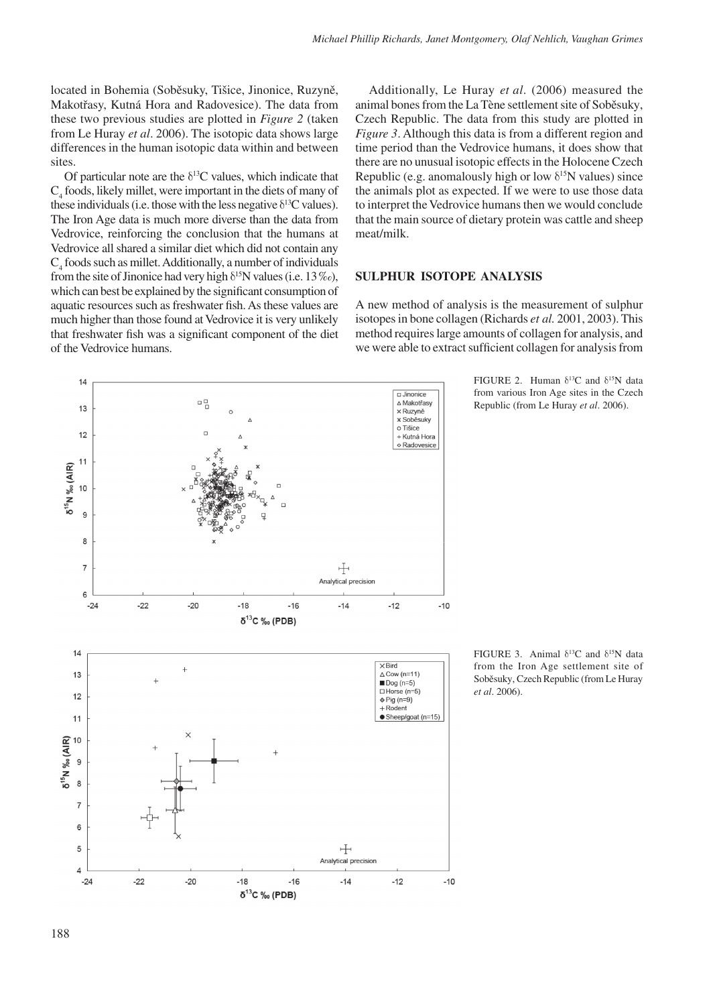located in Bohemia (Soběsuky, Tišice, Jinonice, Ruzyně, Makotřasy, Kutná Hora and Radovesice). The data from these two previous studies are plotted in *Figure 2* (taken from Le Huray *et al*. 2006). The isotopic data shows large differences in the human isotopic data within and between sites.

Of particular note are the  $\delta^{13}$ C values, which indicate that  $C_4$  foods, likely millet, were important in the diets of many of these individuals (i.e. those with the less negative  $\delta^{13}$ C values). The Iron Age data is much more diverse than the data from Vedrovice, reinforcing the conclusion that the humans at Vedrovice all shared a similar diet which did not contain any  $C_4$  foods such as millet. Additionally, a number of individuals from the site of Jinonice had very high  $\delta^{15}N$  values (i.e. 13 ‰), which can best be explained by the significant consumption of aquatic resources such as freshwater fish. As these values are much higher than those found at Vedrovice it is very unlikely that freshwater fish was a significant component of the diet of the Vedrovice humans.

Czech Republic. The data from this study are plotted in *Figure 3*. Although this data is from a different region and time period than the Vedrovice humans, it does show that there are no unusual isotopic effects in the Holocene Czech Republic (e.g. anomalously high or low  $\delta^{15}N$  values) since the animals plot as expected. If we were to use those data to interpret the Vedrovice humans then we would conclude that the main source of dietary protein was cattle and sheep meat/milk.

Additionally, Le Huray *et al*. (2006) measured the animal bones from the La Tène settlement site of Soběsuky,

# **Sulphur Isotope Analysis**

A new method of analysis is the measurement of sulphur isotopes in bone collagen (Richards *et al.* 2001, 2003). This method requires large amounts of collagen for analysis, and we were able to extract sufficient collagen for analysis from



⊬ Analytical precision

 $-14$ 

 $-12$ 

 $-10$ 

FIGURE 2. Human  $\delta^{13}$ C and  $\delta^{15}$ N data from various Iron Age sites in the Czech Republic (from Le Huray *et al*. 2006).

FIGURE 3. Animal  $\delta^{13}C$  and  $\delta^{15}N$  data from the Iron Age settlement site of Soběsuky, Czech Republic (from Le Huray *et al*. 2006).

7  $\epsilon$ 5

 $\overline{4}$  $-24$ 

 $-22$ 

 $-20$ 

 $-18$ 

 $\delta^{13}$ C ‰ (PDB)

 $-16$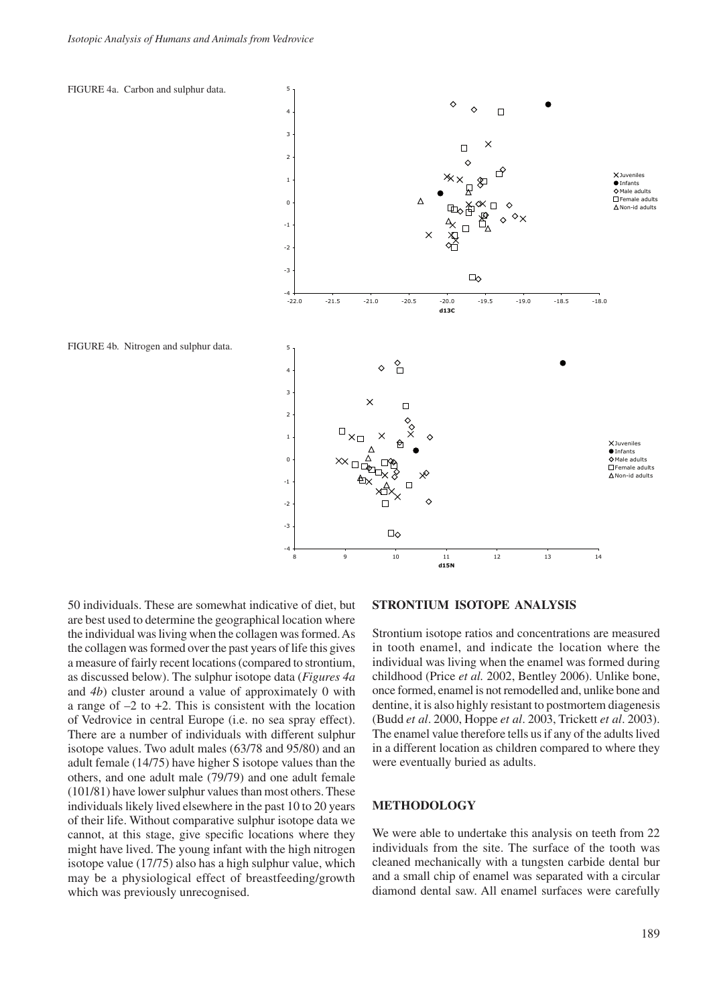

50 individuals. These are somewhat indicative of diet, but are best used to determine the geographical location where the individual was living when the collagen was formed. As the collagen was formed over the past years of life this gives a measure of fairly recent locations (compared to strontium, as discussed below). The sulphur isotope data (*Figures 4a* and *4b*) cluster around a value of approximately 0 with a range of  $-2$  to  $+2$ . This is consistent with the location of Vedrovice in central Europe (i.e. no sea spray effect). There are a number of individuals with different sulphur isotope values. Two adult males (63/78 and 95/80) and an adult female (14/75) have higher S isotope values than the others, and one adult male (79/79) and one adult female (101/81) have lower sulphur values than most others. These individuals likely lived elsewhere in the past 10 to 20 years of their life. Without comparative sulphur isotope data we cannot, at this stage, give specific locations where they might have lived. The young infant with the high nitrogen isotope value (17/75) also has a high sulphur value, which may be a physiological effect of breastfeeding/growth which was previously unrecognised.

### **Strontium Isotope Analysis**

Strontium isotope ratios and concentrations are measured in tooth enamel, and indicate the location where the individual was living when the enamel was formed during childhood (Price *et al.* 2002, Bentley 2006). Unlike bone, once formed, enamel is not remodelled and, unlike bone and dentine, it is also highly resistant to postmortem diagenesis (Budd *et al*. 2000, Hoppe *et al*. 2003, Trickett *et al*. 2003). The enamel value therefore tells us if any of the adults lived in a different location as children compared to where they were eventually buried as adults.

#### **Methodology**

We were able to undertake this analysis on teeth from 22 individuals from the site. The surface of the tooth was cleaned mechanically with a tungsten carbide dental bur and a small chip of enamel was separated with a circular diamond dental saw. All enamel surfaces were carefully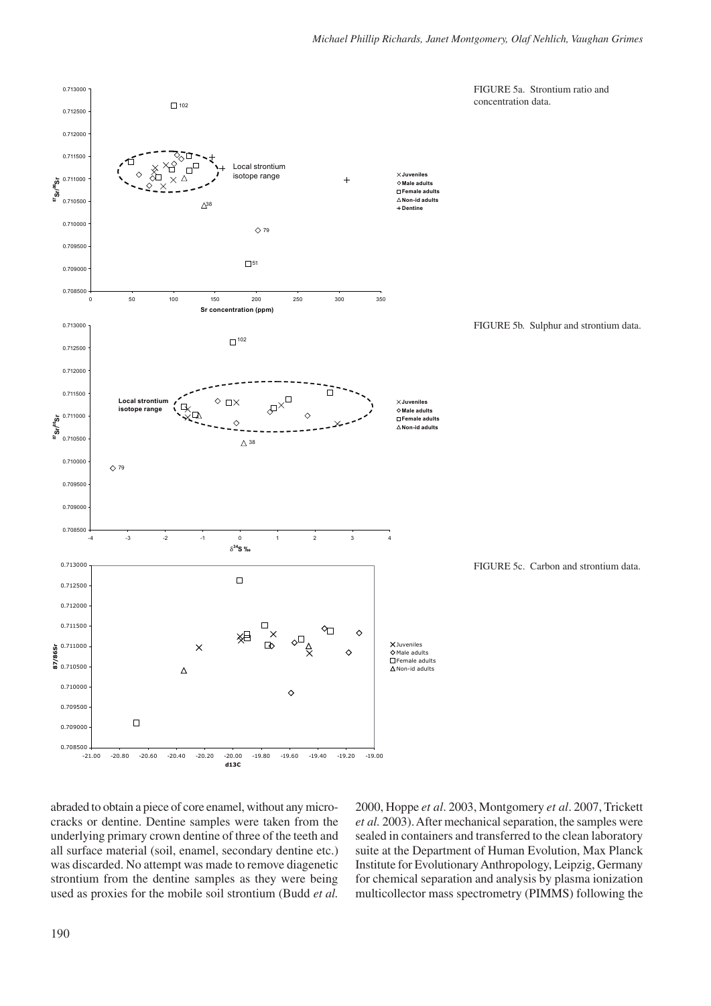

abraded to obtain a piece of core enamel, without any microcracks or dentine. Dentine samples were taken from the underlying primary crown dentine of three of the teeth and all surface material (soil, enamel, secondary dentine etc.) was discarded. No attempt was made to remove diagenetic strontium from the dentine samples as they were being used as proxies for the mobile soil strontium (Budd *et al.* 

2000, Hoppe *et al*. 2003, Montgomery *et al*. 2007, Trickett *et al.* 2003). After mechanical separation, the samples were sealed in containers and transferred to the clean laboratory suite at the Department of Human Evolution, Max Planck Institute for Evolutionary Anthropology, Leipzig, Germany for chemical separation and analysis by plasma ionization multicollector mass spectrometry (PIMMS) following the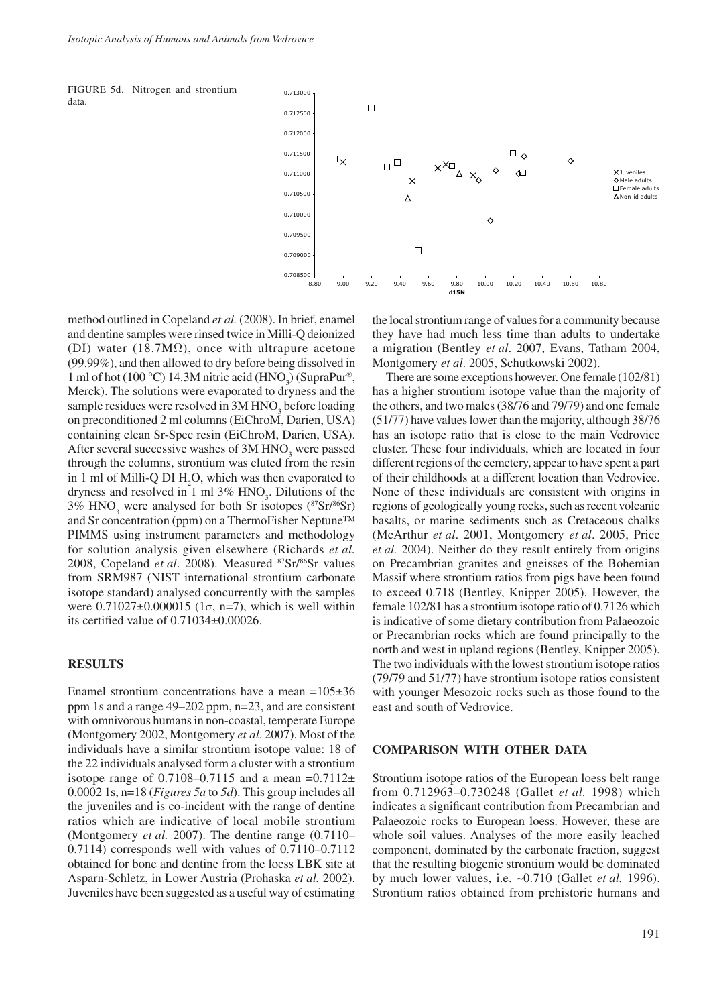



method outlined in Copeland *et al.* (2008). In brief, enamel and dentine samples were rinsed twice in Milli-Q deionized (DI) water (18.7M $\Omega$ ), once with ultrapure acetone (99.99%), and then allowed to dry before being dissolved in 1 ml of hot (100 °C) 14.3M nitric acid (HNO<sub>3</sub>) (SupraPur<sup>®</sup>, Merck). The solutions were evaporated to dryness and the sample residues were resolved in  $3M HNO<sub>3</sub>$  before loading on preconditioned 2 ml columns (EiChroM, Darien, USA) containing clean Sr-Spec resin (EiChroM, Darien, USA). After several successive washes of  $3M HNO<sub>3</sub>$  were passed through the columns, strontium was eluted from the resin in 1 ml of Milli-Q DI  $H_2O$ , which was then evaporated to dryness and resolved in 1 ml  $3\%$  HNO<sub>3</sub>. Dilutions of the 3%  $HNO<sub>3</sub>$  were analysed for both Sr isotopes ( $87Sr/86Sr$ ) and Sr concentration (ppm) on a ThermoFisher Neptune™ PIMMS using instrument parameters and methodology for solution analysis given elsewhere (Richards *et al.* 2008, Copeland *et al*. 2008). Measured 87Sr/86Sr values from SRM987 (NIST international strontium carbonate isotope standard) analysed concurrently with the samples were  $0.71027±0.000015$  (1σ, n=7), which is well within its certified value of 0.71034±0.00026.

# **Results**

Enamel strontium concentrations have a mean  $=105\pm36$ ppm 1s and a range 49–202 ppm, n=23, and are consistent with omnivorous humans in non-coastal, temperate Europe (Montgomery 2002, Montgomery *et al*. 2007). Most of the individuals have a similar strontium isotope value: 18 of the 22 individuals analysed form a cluster with a strontium isotope range of  $0.7108-0.7115$  and a mean  $=0.7112 \pm$ 0.0002 1s, n=18 (*Figures 5a* to *5d*). This group includes all the juveniles and is co-incident with the range of dentine ratios which are indicative of local mobile strontium (Montgomery *et al.* 2007). The dentine range (0.7110– 0.7114) corresponds well with values of 0.7110–0.7112 obtained for bone and dentine from the loess LBK site at Asparn-Schletz, in Lower Austria (Prohaska *et al.* 2002). Juveniles have been suggested as a useful way of estimating the local strontium range of values for a community because they have had much less time than adults to undertake a migration (Bentley *et al*. 2007, Evans, Tatham 2004, Montgomery *et al*. 2005, Schutkowski 2002).

There are some exceptions however. One female (102/81) has a higher strontium isotope value than the majority of the others, and two males (38/76 and 79/79) and one female (51/77) have values lower than the majority, although 38/76 has an isotope ratio that is close to the main Vedrovice cluster. These four individuals, which are located in four different regions of the cemetery, appear to have spent a part of their childhoods at a different location than Vedrovice. None of these individuals are consistent with origins in regions of geologically young rocks, such as recent volcanic basalts, or marine sediments such as Cretaceous chalks (McArthur *et al*. 2001, Montgomery *et al*. 2005, Price *et al.* 2004). Neither do they result entirely from origins on Precambrian granites and gneisses of the Bohemian Massif where strontium ratios from pigs have been found to exceed 0.718 (Bentley, Knipper 2005). However, the female 102/81 has a strontium isotope ratio of 0.7126 which is indicative of some dietary contribution from Palaeozoic or Precambrian rocks which are found principally to the north and west in upland regions (Bentley, Knipper 2005). The two individuals with the lowest strontium isotope ratios (79/79 and 51/77) have strontium isotope ratios consistent with younger Mesozoic rocks such as those found to the east and south of Vedrovice.

#### **Comparison with Other Data**

Strontium isotope ratios of the European loess belt range from 0.712963–0.730248 (Gallet *et al.* 1998) which indicates a significant contribution from Precambrian and Palaeozoic rocks to European loess. However, these are whole soil values. Analyses of the more easily leached component, dominated by the carbonate fraction, suggest that the resulting biogenic strontium would be dominated by much lower values, i.e. ~0.710 (Gallet *et al.* 1996). Strontium ratios obtained from prehistoric humans and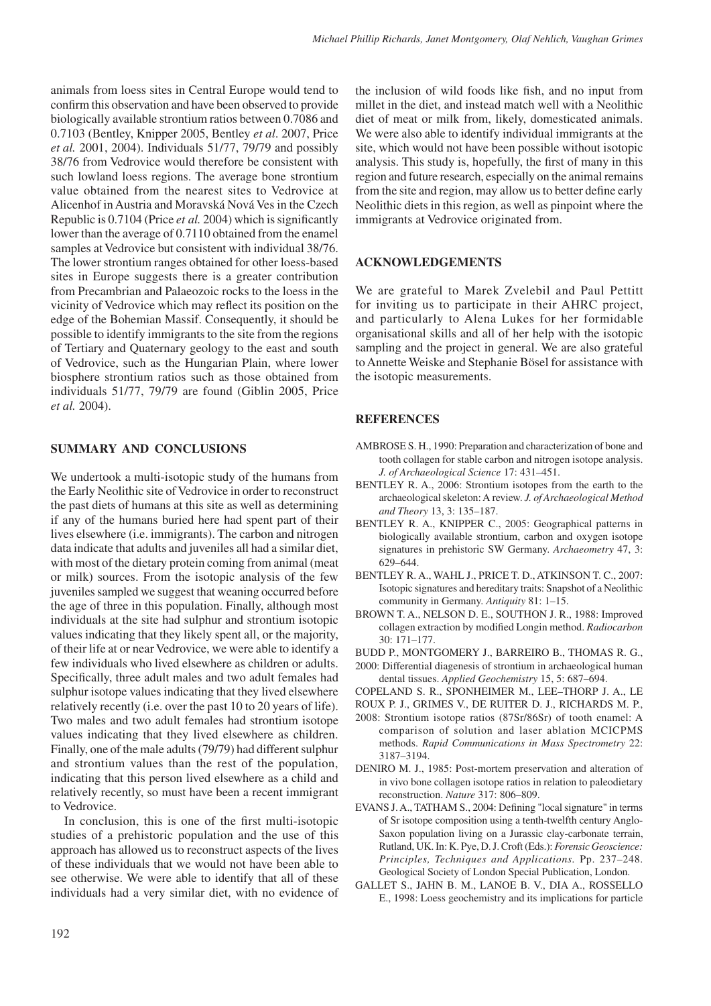animals from loess sites in Central Europe would tend to confirm this observation and have been observed to provide biologically available strontium ratios between 0.7086 and 0.7103 (Bentley, Knipper 2005, Bentley *et al*. 2007, Price *et al.* 2001, 2004). Individuals 51/77, 79/79 and possibly 38/76 from Vedrovice would therefore be consistent with such lowland loess regions. The average bone strontium value obtained from the nearest sites to Vedrovice at Alicenhof in Austria and Moravská Nová Ves in the Czech Republic is 0.7104 (Price *et al.* 2004) which is significantly lower than the average of 0.7110 obtained from the enamel samples at Vedrovice but consistent with individual 38/76. The lower strontium ranges obtained for other loess-based sites in Europe suggests there is a greater contribution from Precambrian and Palaeozoic rocks to the loess in the vicinity of Vedrovice which may reflect its position on the edge of the Bohemian Massif. Consequently, it should be possible to identify immigrants to the site from the regions of Tertiary and Quaternary geology to the east and south of Vedrovice, such as the Hungarian Plain, where lower biosphere strontium ratios such as those obtained from individuals 51/77, 79/79 are found (Giblin 2005, Price *et al.* 2004).

# **Summary and Conclusions**

We undertook a multi-isotopic study of the humans from the Early Neolithic site of Vedrovice in order to reconstruct the past diets of humans at this site as well as determining if any of the humans buried here had spent part of their lives elsewhere (i.e. immigrants). The carbon and nitrogen data indicate that adults and juveniles all had a similar diet, with most of the dietary protein coming from animal (meat or milk) sources. From the isotopic analysis of the few juveniles sampled we suggest that weaning occurred before the age of three in this population. Finally, although most individuals at the site had sulphur and strontium isotopic values indicating that they likely spent all, or the majority, of their life at or near Vedrovice, we were able to identify a few individuals who lived elsewhere as children or adults. Specifically, three adult males and two adult females had sulphur isotope values indicating that they lived elsewhere relatively recently (i.e. over the past 10 to 20 years of life). Two males and two adult females had strontium isotope values indicating that they lived elsewhere as children. Finally, one of the male adults (79/79) had different sulphur and strontium values than the rest of the population, indicating that this person lived elsewhere as a child and relatively recently, so must have been a recent immigrant to Vedrovice.

In conclusion, this is one of the first multi-isotopic studies of a prehistoric population and the use of this approach has allowed us to reconstruct aspects of the lives of these individuals that we would not have been able to see otherwise. We were able to identify that all of these individuals had a very similar diet, with no evidence of the inclusion of wild foods like fish, and no input from millet in the diet, and instead match well with a Neolithic diet of meat or milk from, likely, domesticated animals. We were also able to identify individual immigrants at the site, which would not have been possible without isotopic analysis. This study is, hopefully, the first of many in this region and future research, especially on the animal remains from the site and region, may allow us to better define early Neolithic diets in this region, as well as pinpoint where the immigrants at Vedrovice originated from.

## **Acknowledgements**

We are grateful to Marek Zvelebil and Paul Pettitt for inviting us to participate in their AHRC project, and particularly to Alena Lukes for her formidable organisational skills and all of her help with the isotopic sampling and the project in general. We are also grateful to Annette Weiske and Stephanie Bösel for assistance with the isotopic measurements.

#### **References**

- AMBROSE S. H., 1990: Preparation and characterization of bone and tooth collagen for stable carbon and nitrogen isotope analysis. *J. of Archaeological Science* 17: 431–451.
- BENTLEY R. A., 2006: Strontium isotopes from the earth to the archaeological skeleton: a review. *J. of Archaeological Method and Theory* 13, 3: 135–187.
- BENTLEY R. A., KNIPPER C., 2005: Geographical patterns in biologically available strontium, carbon and oxygen isotope signatures in prehistoric SW Germany. *Archaeometry* 47, 3: 629–644.
- BENTLEY R. A., WAHL J., PRICE T. D., ATKINSON T. C., 2007: Isotopic signatures and hereditary traits: Snapshot of a Neolithic community in Germany. *Antiquity* 81: 1–15.
- Brown T. A., Nelson D. E., Southon J. R., 1988: Improved collagen extraction by modified Longin method. *Radiocarbon* 30: 171–177.
- Budd P., Montgomery J., Barreiro B., Thomas R. G.,
- 2000: Differential diagenesis of strontium in archaeological human dental tissues. *Applied Geochemistry* 15, 5: 687–694.
- Copeland S. R., Sponheimer M., Lee–Thorp J. A., le
- Roux P. J., Grimes V., de Ruiter D. J., Richards M. P.,
- 2008: Strontium isotope ratios (87Sr/86Sr) of tooth enamel: a comparison of solution and laser ablation MCICPMS methods. *Rapid Communications in Mass Spectrometry* 22: 3187–3194.
- DENIRO M. J., 1985: Post-mortem preservation and alteration of in vivo bone collagen isotope ratios in relation to paleodietary reconstruction. *Nature* 317: 806–809.
- Evans J. A., Tatham S., 2004: Defining "local signature" in terms of Sr isotope composition using a tenth-twelfth century Anglo-Saxon population living on a Jurassic clay-carbonate terrain, Rutland, UK. In: K. Pye, D. J. Croft (Eds.): *Forensic Geoscience: Principles, Techniques and Applications.* Pp. 237–248. Geological Society of London Special Publication, London.
- Gallet S., Jahn B. M., Lanoe B. V., Dia A., Rossello E., 1998: Loess geochemistry and its implications for particle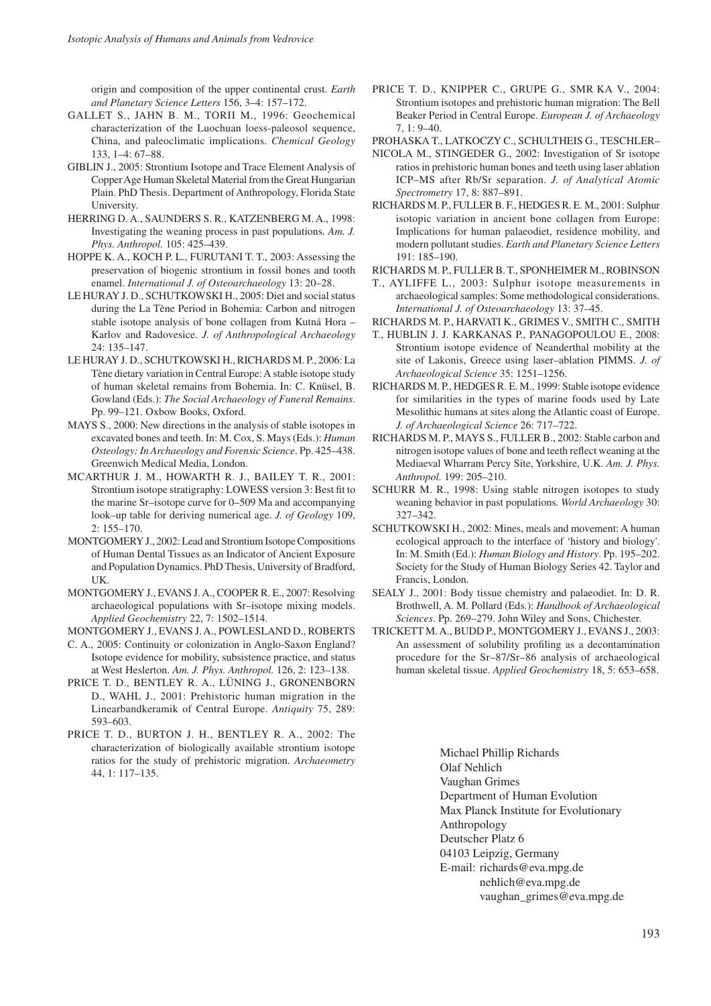origin and composition of the upper continental crust. *Earth and Planetary Science Letters* 156, 3–4: 157–172.

- GALLET S., JAHN B. M., TORII M., 1996: Geochemical characterization of the Luochuan loess-paleosol sequence, China, and paleoclimatic implications. *Chemical Geology* 133, 1–4: 67–88.
- Giblin J., 2005: Strontium Isotope and Trace Element Analysis of Copper Age Human Skeletal Material from the Great Hungarian Plain. PhD Thesis. Department of Anthropology, Florida State University.
- Herring D. A., Saunders S. R., Katzenberg M. A., 1998: Investigating the weaning process in past populations. *Am. J. Phys. Anthropol.* 105: 425–439.
- HOPPE K. A., KOCH P. L., FURUTANI T. T., 2003: Assessing the preservation of biogenic strontium in fossil bones and tooth enamel. *International J. of Osteoarchaeology* 13: 20–28.
- LE HURAY J. D., SCHUTKOWSKI H., 2005: Diet and social status during the La Tène Period in Bohemia: Carbon and nitrogen stable isotope analysis of bone collagen from Kutná Hora – Karlov and Radovesice. *J. of Anthropological Archaeology* 24: 135–147.
- Le Huray J. D., Schutkowski H., Richards M. P., 2006: La Tène dietary variation in Central Europe: A stable isotope study of human skeletal remains from Bohemia. In: C. Knüsel, B. Gowland (Eds.): *The Social Archaeology of Funeral Remains*. Pp. 99–121. Oxbow Books, Oxford.
- Mays S., 2000: New directions in the analysis of stable isotopes in excavated bones and teeth. In: M. Cox, S. Mays (Eds.): *Human Osteology: In Archaeology and Forensic Science*. Pp. 425–438. Greenwich Medical Media, London.
- McArthur J. M., Howarth R. J., Bailey T. R., 2001: Strontium isotope stratigraphy: LOWESS version 3: Best fit to the marine Sr–isotope curve for 0–509 Ma and accompanying look–up table for deriving numerical age. *J. of Geology* 109, 2: 155–170.
- MONTGOMERY J., 2002: Lead and Strontium Isotope Compositions of Human Dental Tissues as an Indicator of Ancient Exposure and Population Dynamics. PhD Thesis, University of Bradford, UK.
- Montgomery J., Evans J. A., Cooper R. E., 2007: Resolving archaeological populations with Sr–isotope mixing models. *Applied Geochemistry* 22, 7: 1502–1514.
- Montgomery J., Evans J. A., Powlesland D., Roberts
- C. A., 2005: Continuity or colonization in Anglo-Saxon England? Isotope evidence for mobility, subsistence practice, and status at West Heslerton. *Am. J. Phys. Anthropol.* 126, 2: 123–138.
- Price T. D., Bentley R. A., Lüning J., Gronenborn D., WAHL J., 2001: Prehistoric human migration in the Linearbandkeramik of Central Europe. *Antiquity* 75, 289: 593–603.
- Price T. D., Burton J. H., Bentley R. A., 2002: The characterization of biologically available strontium isotope ratios for the study of prehistoric migration. *Archaeometry* 44, 1: 117–135.
- Price T. D., Knipper C., Grupe G., Smr ka V., 2004: Strontium isotopes and prehistoric human migration: The Bell Beaker Period in Central Europe. *European J. of Archaeology* 7, 1: 9–40.
- Prohaska T., Latkoczy C., Schultheis G., Teschler–
- Nicola M., Stingeder G., 2002: Investigation of Sr isotope ratios in prehistoric human bones and teeth using laser ablation ICP–MS after Rb/Sr separation. *J. of Analytical Atomic Spectrometry* 17, 8: 887–891.
- RICHARDS M. P., FULLER B. F., HEDGES R. E. M., 2001: Sulphur isotopic variation in ancient bone collagen from Europe: Implications for human palaeodiet, residence mobility, and modern pollutant studies. *Earth and Planetary Science Letters*  191: 185–190.
- Richards M. P., Fuller B. T., Sponheimer M., Robinson
- T., Ayliffe L., 2003: sulphur isotope measurements in archaeological samples: Some methodological considerations. *International J. of Osteoarchaeology* 13: 37–45.
- Richards M. P., Harvati K., Grimes V., Smith C., Smith
- T., Hublin J. J. Karkanas P., Panagopoulou E., 2008: Strontium isotope evidence of Neanderthal mobility at the site of Lakonis, Greece using laser–ablation PIMMS. *J. of Archaeological Science* 35: 1251–1256.
- RICHARDS M. P., HEDGES R. E. M., 1999: Stable isotope evidence for similarities in the types of marine foods used by Late Mesolithic humans at sites along the Atlantic coast of Europe. *J. of Archaeological Science* 26: 717–722.
- Richards M. P., Mays S., Fuller B., 2002: Stable carbon and nitrogen isotope values of bone and teeth reflect weaning at the Mediaeval Wharram Percy Site, Yorkshire, U.K. *Am. J. Phys. Anthropol.* 199: 205–210.
- SCHURR M. R., 1998: Using stable nitrogen isotopes to study weaning behavior in past populations*. World Archaeology* 30: 327–342.
- SCHUTKOWSKI H., 2002: Mines, meals and movement: A human ecological approach to the interface of 'history and biology'. In: M. Smith (Ed.): *Human Biology and History*. Pp. 195–202. Society for the Study of Human Biology Series 42. Taylor and Francis, London.
- SEALY J., 2001: Body tissue chemistry and palaeodiet. In: D. R. Brothwell, A. M. Pollard (Eds.): *Handbook of Archaeological Sciences*. Pp. 269–279. John Wiley and Sons, Chichester.
- Trickett M. A., Budd P., Montgomery J., Evans J., 2003: An assessment of solubility profiling as a decontamination procedure for the Sr–87/Sr–86 analysis of archaeological human skeletal tissue. *Applied Geochemistry* 18, 5: 653–658.

Michael Phillip Richards Olaf Nehlich Vaughan Grimes Department of Human Evolution Max Planck Institute for Evolutionary Anthropology Deutscher Platz 6 04103 Leipzig, Germany E-mail: richards@eva.mpg.de nehlich@eva.mpg.de vaughan\_grimes@eva.mpg.de